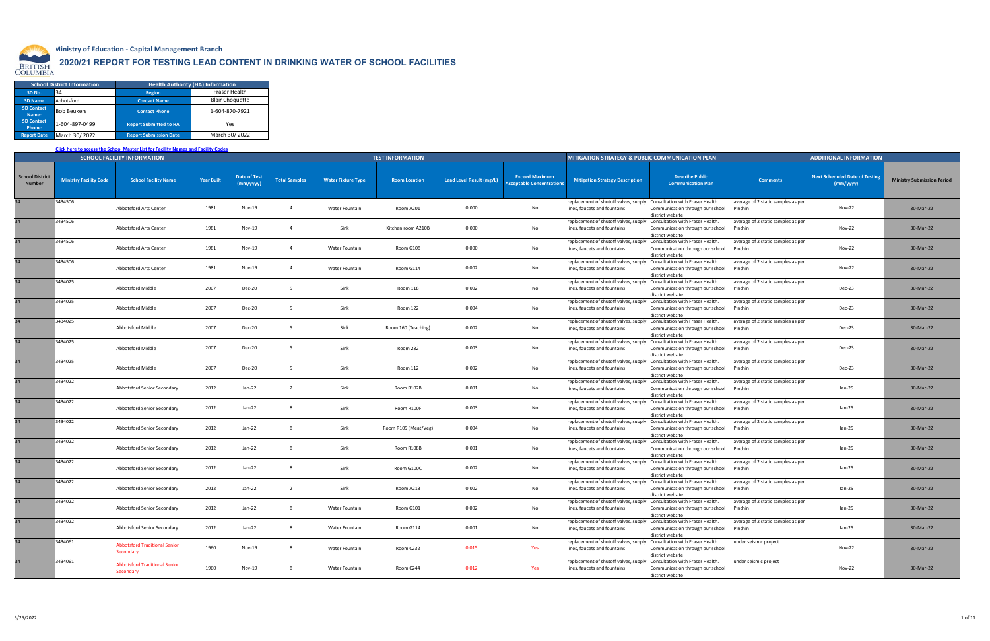

## **Ministry of Education - Capital Management Branch**

## **2020/21 REPORT FOR TESTING LEAD CONTENT IN DRINKING WATER OF SCHOOL FACILITIES**

## **[Click here to access the School Master List for Facility Names and Facility Codes](http://www.bced.gov.bc.ca/apps/imcl/imclWeb/SchoolContactSelector.do)**

|                    | <b>School District Information</b> |                               | <b>Health Authority (HA) Information</b> |
|--------------------|------------------------------------|-------------------------------|------------------------------------------|
| SD <sub>No</sub>   | 34                                 | <b>Region</b>                 | <b>Fraser Health</b>                     |
| SD Name            | Abbotsford                         | <b>Contact Name</b>           | <b>Blair Choquette</b>                   |
| <b>SD Contact</b>  | <b>Bob Beukers</b>                 | <b>Contact Phone</b>          | 1-604-870-7921                           |
| Name:              |                                    |                               |                                          |
| <b>SD Contact</b>  | 1-604-897-0499                     | <b>Report Submitted to HA</b> | Yes                                      |
| Phone:             |                                    |                               |                                          |
| <b>Report Date</b> | March 30/2022                      | <b>Report Submission Date</b> | March 30/2022                            |

|                                         |                               | <b>SCHOOL FACILITY INFORMATION</b>                |                   |                                  |                      |                           | <b>TEST INFORMATION</b> |                          |                                                           | <b>MITIGATION STRATEGY &amp; PUBLIC COMMUNICATION PLAN</b>                                             |                                                      |                                               | <b>ADDITIONAL INFORMATION</b>                      |                                   |
|-----------------------------------------|-------------------------------|---------------------------------------------------|-------------------|----------------------------------|----------------------|---------------------------|-------------------------|--------------------------|-----------------------------------------------------------|--------------------------------------------------------------------------------------------------------|------------------------------------------------------|-----------------------------------------------|----------------------------------------------------|-----------------------------------|
| <b>School District</b><br><b>Number</b> | <b>Ministry Facility Code</b> | <b>School Facility Name</b>                       | <b>Year Built</b> | <b>Date of Test</b><br>(mm/yyyy) | <b>Total Samples</b> | <b>Water Fixture Type</b> | <b>Room Location</b>    | Lead Level Result (mg/L) | <b>Exceed Maximum</b><br><b>Acceptable Concentrations</b> | <b>Mitigation Strategy Description</b>                                                                 | <b>Describe Public</b><br><b>Communication Plan</b>  | <b>Comments</b>                               | <b>Next Scheduled Date of Testing</b><br>(mm/yyyy) | <b>Ministry Submission Period</b> |
|                                         | 3434506                       | Abbotsford Arts Center                            | 1981              | Nov-19                           |                      | Water Fountain            | Room A201               | 0.000                    | No                                                        | replacement of shutoff valves, supply Consultation with Fraser Health.<br>lines, faucets and fountains | Communication through our school<br>district website | average of 2 static samples as per<br>Pinchin | <b>Nov-22</b>                                      | 30-Mar-22                         |
| 34                                      | 3434506                       | Abbotsford Arts Center                            | 1981              | <b>Nov-19</b>                    |                      | Sink                      | Kitchen room A210B      | 0.000                    | No                                                        | replacement of shutoff valves, supply Consultation with Fraser Health.<br>lines, faucets and fountains | Communication through our school<br>district website | average of 2 static samples as per<br>Pinchin | Nov-22                                             | 30-Mar-22                         |
| 34                                      | 3434506                       | Abbotsford Arts Center                            | 1981              | Nov-19                           |                      | Water Fountain            | Room G108               | 0.000                    | No                                                        | replacement of shutoff valves, supply Consultation with Fraser Health<br>lines, faucets and fountains  | Communication through our school<br>district website | average of 2 static samples as per<br>Pinchin | Nov-22                                             | 30-Mar-22                         |
| 34                                      | 3434506                       | Abbotsford Arts Center                            | 1981              | Nov-19                           | $\overline{4}$       | Water Fountain            | Room G114               | 0.002                    | No                                                        | replacement of shutoff valves, supply Consultation with Fraser Health<br>lines, faucets and fountains  | Communication through our school<br>district website | average of 2 static samples as per<br>Pinchin | <b>Nov-22</b>                                      | 30-Mar-22                         |
|                                         | 3434025                       | Abbotsford Middle                                 | 2007              | <b>Dec-20</b>                    |                      | Sink                      | Room 118                | 0.002                    | No                                                        | replacement of shutoff valves, supply Consultation with Fraser Health<br>lines, faucets and fountains  | Communication through our school<br>district website | average of 2 static samples as per<br>Pinchin | Dec-23                                             | 30-Mar-22                         |
| 34                                      | 3434025                       | <b>Abbotsford Middle</b>                          | 2007              | <b>Dec-20</b>                    |                      | Sink                      | Room 122                | 0.004                    | No                                                        | replacement of shutoff valves, supply Consultation with Fraser Health<br>lines, faucets and fountains  | Communication through our school<br>district website | average of 2 static samples as per<br>Pinchin | Dec-23                                             | 30-Mar-22                         |
| 34                                      | 3434025                       | <b>Abbotsford Middle</b>                          | 2007              | <b>Dec-20</b>                    |                      | Sink                      | Room 160 (Teaching)     | 0.002                    | No                                                        | replacement of shutoff valves, supply Consultation with Fraser Health.<br>lines, faucets and fountains | Communication through our school<br>district website | average of 2 static samples as per<br>Pinchin | Dec-23                                             | 30-Mar-22                         |
|                                         | 3434025                       | Abbotsford Middle                                 | 2007              | <b>Dec-20</b>                    |                      | Sink                      | Room 232                | 0.003                    | No                                                        | replacement of shutoff valves, supply Consultation with Fraser Health.<br>lines, faucets and fountains | Communication through our school<br>district website | average of 2 static samples as per<br>Pinchin | Dec-23                                             | 30-Mar-22                         |
| 34                                      | 3434025                       | <b>Abbotsford Middle</b>                          | 2007              | <b>Dec-20</b>                    |                      | Sink                      | Room 112                | 0.002                    | No                                                        | replacement of shutoff valves, supply Consultation with Fraser Health.<br>lines, faucets and fountains | Communication through our school<br>district website | average of 2 static samples as per<br>Pinchin | Dec-23                                             | 30-Mar-22                         |
| 34                                      | 3434022                       | Abbotsford Senior Secondary                       | 2012              | $Jan-22$                         |                      | Sink                      | Room R102B              | 0.001                    | No                                                        | replacement of shutoff valves, supply Consultation with Fraser Health.<br>lines, faucets and fountains | Communication through our school<br>district website | average of 2 static samples as per<br>Pinchin | Jan-25                                             | 30-Mar-22                         |
| 34                                      | 3434022                       | Abbotsford Senior Secondary                       | 2012              | Jan-22                           |                      | Sink                      | Room R100F              | 0.003                    | No                                                        | replacement of shutoff valves, supply Consultation with Fraser Health.<br>lines, faucets and fountains | Communication through our school<br>district website | average of 2 static samples as per<br>Pinchin | Jan-25                                             | 30-Mar-22                         |
|                                         | 3434022                       | Abbotsford Senior Secondary                       | 2012              | $Jan-22$                         |                      | Sink                      | Room R105 (Meat/Veg)    | 0.004                    | No                                                        | replacement of shutoff valves, supply Consultation with Fraser Health.<br>lines, faucets and fountains | Communication through our school<br>district website | average of 2 static samples as per<br>Pinchin | Jan-25                                             | 30-Mar-22                         |
|                                         | 3434022                       | Abbotsford Senior Secondary                       | 2012              | Jan-22                           |                      | Sink                      | Room R108B              | 0.001                    | No                                                        | replacement of shutoff valves, supply Consultation with Fraser Health.<br>lines, faucets and fountains | Communication through our school<br>district website | average of 2 static samples as per<br>Pinchin | Jan-25                                             | 30-Mar-22                         |
|                                         | 3434022                       | Abbotsford Senior Secondary                       | 2012              | Jan-22                           |                      | Sink                      | Room G100C              | 0.002                    | No                                                        | replacement of shutoff valves, supply Consultation with Fraser Health.<br>lines, faucets and fountains | Communication through our school<br>district website | average of 2 static samples as per<br>Pinchin | Jan-25                                             | 30-Mar-22                         |
|                                         | 3434022                       | Abbotsford Senior Secondary                       | 2012              | Jan-22                           |                      | Sink                      | Room A213               | 0.002                    | No                                                        | replacement of shutoff valves, supply Consultation with Fraser Health<br>lines, faucets and fountains  | Communication through our school<br>district website | average of 2 static samples as per<br>Pinchin | Jan-25                                             | 30-Mar-22                         |
|                                         | 3434022                       | Abbotsford Senior Secondary                       | 2012              | $Jan-22$                         |                      | <b>Water Fountain</b>     | Room G101               | 0.002                    | No                                                        | replacement of shutoff valves, supply Consultation with Fraser Health<br>lines, faucets and fountains  | Communication through our school<br>district website | average of 2 static samples as per<br>Pinchin | $Jan-25$                                           | 30-Mar-22                         |
|                                         | 3434022                       | Abbotsford Senior Secondary                       | 2012              | Jan-22                           |                      | Water Fountain            | Room G114               | 0.001                    | No                                                        | replacement of shutoff valves, supply Consultation with Fraser Health.<br>lines, faucets and fountains | Communication through our school<br>district website | average of 2 static samples as per<br>Pinchin | Jan-25                                             | 30-Mar-22                         |
| 34                                      | 3434061                       | <b>Abbotsford Traditional Senior</b><br>Secondary | 1960              | Nov-19                           |                      | Water Fountain            | Room C232               | 0.015                    | Yes                                                       | replacement of shutoff valves, supply Consultation with Fraser Health.<br>lines, faucets and fountains | Communication through our school<br>district website | under seismic project                         | <b>Nov-22</b>                                      | 30-Mar-22                         |
|                                         | 3434061                       | <b>Abbotsford Traditional Senior</b><br>Secondary | 1960              | Nov-19                           | -8                   | Water Fountain            | Room C244               | 0.012                    | Yes                                                       | replacement of shutoff valves, supply Consultation with Fraser Health.<br>lines, faucets and fountains | Communication through our school<br>district website | under seismic project                         | <b>Nov-22</b>                                      | 30-Mar-22                         |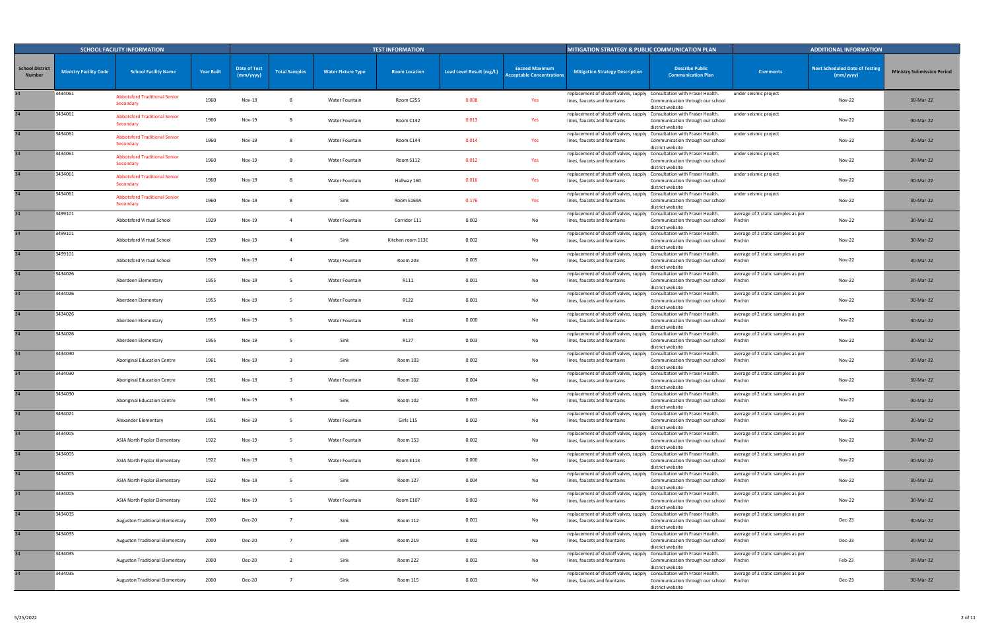|                                         |                               | <b>SCHOOL FACILITY INFORMATION</b>                |                   |                                  |                      |                           | <b>TEST INFORMATION</b> |                          |                                                           | <b>MITIGATION STRATEGY &amp; PUBLIC COMMUNICATION PLAN</b>                                             |                                                      |                                               | <b>ADDITIONAL INFORMATION</b>                      |                                   |
|-----------------------------------------|-------------------------------|---------------------------------------------------|-------------------|----------------------------------|----------------------|---------------------------|-------------------------|--------------------------|-----------------------------------------------------------|--------------------------------------------------------------------------------------------------------|------------------------------------------------------|-----------------------------------------------|----------------------------------------------------|-----------------------------------|
| <b>School District</b><br><b>Number</b> | <b>Ministry Facility Code</b> | <b>School Facility Name</b>                       | <b>Year Built</b> | <b>Date of Test</b><br>(mm/yyyy) | <b>Total Samples</b> | <b>Water Fixture Type</b> | <b>Room Location</b>    | Lead Level Result (mg/L) | <b>Exceed Maximum</b><br><b>Acceptable Concentrations</b> | <b>Mitigation Strategy Description</b>                                                                 | <b>Describe Public</b><br><b>Communication Plan</b>  | <b>Comments</b>                               | <b>Next Scheduled Date of Testing</b><br>(mm/yyyy) | <b>Ministry Submission Period</b> |
|                                         | 3434061                       | <b>Abbotsford Traditional Senior</b><br>Secondary | 1960              | Nov-19                           |                      | Water Fountain            | Room C255               | 0.008                    | Yes                                                       | replacement of shutoff valves, supply Consultation with Fraser Health.<br>lines, faucets and fountains | Communication through our school<br>district website | under seismic project                         | <b>Nov-22</b>                                      | 30-Mar-22                         |
|                                         | 3434061                       | <b>Abbotsford Traditional Senior</b><br>Secondary | 1960              | Nov-19                           |                      | Water Fountain            | Room C132               | 0.013                    | Yes                                                       | replacement of shutoff valves, supply Consultation with Fraser Health.<br>lines, faucets and fountains | Communication through our school<br>district website | under seismic project                         | <b>Nov-22</b>                                      | 30-Mar-22                         |
|                                         | 3434061                       | <b>Abbotsford Traditional Senior</b><br>Secondary | 1960              | Nov-19                           |                      | Water Fountain            | Room C144               | 0.014                    | Yes                                                       | replacement of shutoff valves, supply Consultation with Fraser Health.<br>lines, faucets and fountains | Communication through our school<br>district website | under seismic project                         | <b>Nov-22</b>                                      | 30-Mar-22                         |
|                                         | 3434061                       | <b>Abbotsford Traditional Senior</b><br>Secondary | 1960              | Nov-19                           |                      | Water Fountain            | Room S112               | 0.012                    | Yes                                                       | replacement of shutoff valves, supply Consultation with Fraser Health.<br>lines, faucets and fountains | Communication through our school<br>district website | under seismic project                         | <b>Nov-22</b>                                      | 30-Mar-22                         |
|                                         | 3434061                       | <b>Abbotsford Traditional Senior</b><br>Secondary | 1960              | Nov-19                           |                      | Water Fountain            | Hallway 160             | 0.016                    | Yes                                                       | replacement of shutoff valves, supply Consultation with Fraser Health.<br>lines, faucets and fountains | Communication through our school<br>district website | under seismic project                         | <b>Nov-22</b>                                      | 30-Mar-22                         |
|                                         | 3434061                       | <b>Abbotsford Traditional Senior</b><br>Secondary | 1960              | <b>Nov-19</b>                    |                      | Sink                      | Room E169A              | 0.176                    | Yes                                                       | replacement of shutoff valves, supply Consultation with Fraser Health.<br>lines, faucets and fountains | Communication through our school<br>district website | under seismic project                         | <b>Nov-22</b>                                      | 30-Mar-22                         |
|                                         | 3499101                       | Abbotsford Virtual School                         | 1929              | <b>Nov-19</b>                    |                      | Water Fountain            | Corridor 111            | 0.002                    | No                                                        | replacement of shutoff valves, supply Consultation with Fraser Health.<br>lines, faucets and fountains | Communication through our school<br>district website | average of 2 static samples as per<br>Pinchin | <b>Nov-22</b>                                      | 30-Mar-22                         |
|                                         | 3499101                       | Abbotsford Virtual School                         | 1929              | <b>Nov-19</b>                    |                      | Sink                      | Kitchen room 113E       | 0.002                    | No                                                        | replacement of shutoff valves, supply Consultation with Fraser Health.<br>lines, faucets and fountains | Communication through our school<br>district website | average of 2 static samples as per<br>Pinchin | Nov-22                                             | 30-Mar-22                         |
|                                         | 3499101                       | Abbotsford Virtual School                         | 1929              | <b>Nov-19</b>                    | -4                   | Water Fountain            | Room 203                | 0.005                    | No                                                        | replacement of shutoff valves, supply Consultation with Fraser Health<br>lines, faucets and fountains  | Communication through our school<br>district website | average of 2 static samples as per<br>Pinchin | <b>Nov-22</b>                                      | 30-Mar-22                         |
|                                         | 3434026                       | Aberdeen Elementary                               | 1955              | Nov-19                           |                      | Water Fountain            | R111                    | 0.001                    | No                                                        | replacement of shutoff valves, supply Consultation with Fraser Health.<br>lines, faucets and fountains | Communication through our school<br>district website | average of 2 static samples as per<br>Pinchin | Nov-22                                             | 30-Mar-22                         |
|                                         | 3434026                       | Aberdeen Elementary                               | 1955              | Nov-19                           | - 5                  | Water Fountain            | R122                    | 0.001                    | No                                                        | replacement of shutoff valves, supply Consultation with Fraser Health<br>lines, faucets and fountains  | Communication through our school<br>district website | average of 2 static samples as per<br>Pinchin | <b>Nov-22</b>                                      | 30-Mar-22                         |
|                                         | 3434026                       | Aberdeen Elementary                               | 1955              | Nov-19                           | - 5                  | Water Fountain            | R124                    | 0.000                    | No                                                        | replacement of shutoff valves, supply Consultation with Fraser Health<br>lines, faucets and fountains  | Communication through our school<br>district website | average of 2 static samples as per<br>Pinchin | Nov-22                                             | 30-Mar-22                         |
|                                         | 3434026                       | Aberdeen Elementary                               | 1955              | Nov-19                           |                      | Sink                      | R127                    | 0.003                    | No                                                        | replacement of shutoff valves, supply Consultation with Fraser Health.<br>lines, faucets and fountains | Communication through our school<br>district website | average of 2 static samples as per<br>Pinchin | <b>Nov-22</b>                                      | 30-Mar-22                         |
|                                         | 3434030                       | Aboriginal Education Centre                       | 1961              | Nov-19                           |                      | Sink                      | Room 103                | 0.002                    | No                                                        | replacement of shutoff valves, supply Consultation with Fraser Health.<br>lines, faucets and fountains | Communication through our school<br>district website | average of 2 static samples as per<br>Pinchin | Nov-22                                             | 30-Mar-22                         |
|                                         | 3434030                       | Aboriginal Education Centre                       | 1961              | Nov-19                           |                      | Water Fountain            | Room 102                | 0.004                    | No                                                        | replacement of shutoff valves, supply Consultation with Fraser Health.<br>lines, faucets and fountains | Communication through our school<br>district website | average of 2 static samples as per<br>Pinchin | Nov-22                                             | 30-Mar-22                         |
|                                         | 3434030                       | Aboriginal Education Centre                       | 1961              | <b>Nov-19</b>                    |                      | Sink                      | Room 102                | 0.003                    | No                                                        | replacement of shutoff valves, supply Consultation with Fraser Health.<br>lines, faucets and fountains | Communication through our school<br>district website | average of 2 static samples as per<br>Pinchin | Nov-22                                             | 30-Mar-22                         |
| 34                                      | 3434021                       | Alexander Elementary                              | 1951              | Nov-19                           | 5                    | Water Fountain            | Girls 115               | 0.002                    | No                                                        | replacement of shutoff valves, supply Consultation with Fraser Health.<br>lines, faucets and fountains | Communication through our school<br>district website | average of 2 static samples as per<br>Pinchin | <b>Nov-22</b>                                      | 30-Mar-22                         |
| 34                                      | 3434005                       | ASIA North Poplar Elementary                      | 1922              | Nov-19                           | - 5                  | Water Fountain            | Room 153                | 0.002                    | No                                                        | replacement of shutoff valves, supply Consultation with Fraser Health.<br>lines, faucets and fountains | Communication through our school<br>district website | average of 2 static samples as per<br>Pinchin | <b>Nov-22</b>                                      | 30-Mar-22                         |
| 34                                      | 3434005                       | ASIA North Poplar Elementary                      | 1922              | Nov-19                           | - 5                  | Water Fountain            | Room E113               | 0.000                    | No                                                        | replacement of shutoff valves, supply Consultation with Fraser Health.<br>lines, faucets and fountains | Communication through our school<br>district website | average of 2 static samples as per<br>Pinchin | <b>Nov-22</b>                                      | 30-Mar-22                         |
| 34                                      | 3434005                       | ASIA North Poplar Elementary                      | 1922              | <b>Nov-19</b>                    | - 5                  | Sink                      | Room 127                | 0.004                    | No                                                        | replacement of shutoff valves, supply Consultation with Fraser Health.<br>lines, faucets and fountains | Communication through our school<br>district website | average of 2 static samples as per<br>Pinchin | <b>Nov-22</b>                                      | 30-Mar-22                         |
|                                         | 3434005                       | ASIA North Poplar Elementary                      | 1922              | Nov-19                           | 5                    | Water Fountain            | Room E107               | 0.002                    | No                                                        | replacement of shutoff valves, supply Consultation with Fraser Health.<br>lines, faucets and fountains | Communication through our school<br>district website | average of 2 static samples as per<br>Pinchin | <b>Nov-22</b>                                      | 30-Mar-22                         |
| 34                                      | 3434035                       | Auguston Traditional Elementary                   | 2000              | Dec-20                           | $\overline{7}$       | Sink                      | Room 112                | 0.001                    | No                                                        | replacement of shutoff valves, supply Consultation with Fraser Health.<br>lines, faucets and fountains | Communication through our school<br>district website | average of 2 static samples as per<br>Pinchin | Dec-23                                             | 30-Mar-22                         |
|                                         | 3434035                       | Auguston Traditional Elementary                   | 2000              | <b>Dec-20</b>                    | $\overline{7}$       | Sink                      | Room 219                | 0.002                    | No                                                        | replacement of shutoff valves, supply Consultation with Fraser Health.<br>lines, faucets and fountains | Communication through our school<br>district website | average of 2 static samples as per<br>Pinchin | Dec-23                                             | 30-Mar-22                         |
| 34                                      | 3434035                       | Auguston Traditional Elementary                   | 2000              | Dec-20                           | 2                    | Sink                      | Room 222                | 0.002                    | No                                                        | replacement of shutoff valves, supply Consultation with Fraser Health.<br>lines, faucets and fountains | Communication through our school<br>district website | average of 2 static samples as per<br>Pinchin | Feb-23                                             | 30-Mar-22                         |
|                                         | 3434035                       | Auguston Traditional Elementary                   | 2000              | <b>Dec-20</b>                    | $\overline{7}$       | Sink                      | Room 115                | 0.003                    | No                                                        | replacement of shutoff valves, supply Consultation with Fraser Health.<br>lines, faucets and fountains | Communication through our school<br>district website | average of 2 static samples as per<br>Pinchin | Dec-23                                             | 30-Mar-22                         |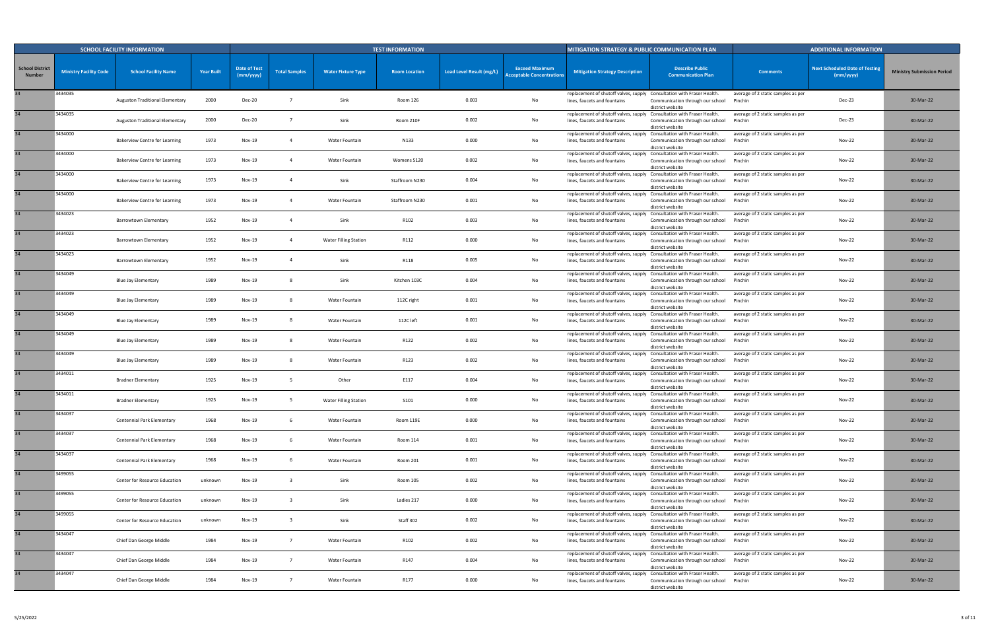|                                         |                               | <b>SCHOOL FACILITY INFORMATION</b>     |                   |                                  |                         |                              | <b>TEST INFORMATION</b> |                          |                                                           | <b>MITIGATION STRATEGY &amp; PUBLIC COMMUNICATION PLAN</b>                                             |                                                      |                                               | <b>ADDITIONAL INFORMATION</b>                      |                                   |
|-----------------------------------------|-------------------------------|----------------------------------------|-------------------|----------------------------------|-------------------------|------------------------------|-------------------------|--------------------------|-----------------------------------------------------------|--------------------------------------------------------------------------------------------------------|------------------------------------------------------|-----------------------------------------------|----------------------------------------------------|-----------------------------------|
| <b>School District</b><br><b>Number</b> | <b>Ministry Facility Code</b> | <b>School Facility Name</b>            | <b>Year Built</b> | <b>Date of Test</b><br>(mm/yyyy) | <b>Total Samples</b>    | <b>Water Fixture Type</b>    | <b>Room Location</b>    | Lead Level Result (mg/L) | <b>Exceed Maximum</b><br><b>Acceptable Concentrations</b> | <b>Mitigation Strategy Description</b>                                                                 | <b>Describe Public</b><br><b>Communication Plan</b>  | <b>Comments</b>                               | <b>Next Scheduled Date of Testing</b><br>(mm/yyyy) | <b>Ministry Submission Period</b> |
|                                         | 3434035                       | Auguston Traditional Elementary        | 2000              | <b>Dec-20</b>                    |                         | Sink                         | Room 126                | 0.003                    | No                                                        | replacement of shutoff valves, supply Consultation with Fraser Health.<br>lines, faucets and fountains | Communication through our school<br>district website | average of 2 static samples as per<br>Pinchin | Dec-23                                             | 30-Mar-22                         |
| 34                                      | 3434035                       | <b>Auguston Traditional Elementary</b> | 2000              | <b>Dec-20</b>                    |                         | Sink                         | Room 210F               | 0.002                    | No                                                        | replacement of shutoff valves, supply Consultation with Fraser Health.<br>lines, faucets and fountains | Communication through our school<br>district website | average of 2 static samples as per<br>Pinchin | Dec-23                                             | 30-Mar-22                         |
| 34                                      | 3434000                       | <b>Bakerview Centre for Learning</b>   | 1973              | Nov-19                           |                         | Water Fountain               | N133                    | 0.000                    | No                                                        | replacement of shutoff valves, supply Consultation with Fraser Health.<br>lines, faucets and fountains | Communication through our school<br>district website | average of 2 static samples as per<br>Pinchin | <b>Nov-22</b>                                      | 30-Mar-22                         |
| 34                                      | 3434000                       | <b>Bakerview Centre for Learning</b>   | 1973              | Nov-19                           |                         | Water Fountain               | Womens S120             | 0.002                    | No                                                        | replacement of shutoff valves, supply Consultation with Fraser Health.<br>lines, faucets and fountains | Communication through our school<br>district website | average of 2 static samples as per<br>Pinchin | Nov-22                                             | 30-Mar-22                         |
|                                         | 3434000                       | <b>Bakerview Centre for Learning</b>   | 1973              | Nov-19                           |                         | Sink                         | Staffroom N230          | 0.004                    | No                                                        | replacement of shutoff valves, supply Consultation with Fraser Health.<br>lines, faucets and fountains | Communication through our school<br>district website | average of 2 static samples as per<br>Pinchin | <b>Nov-22</b>                                      | 30-Mar-22                         |
| 34                                      | 3434000                       | <b>Bakerview Centre for Learning</b>   | 1973              | <b>Nov-19</b>                    |                         | Water Fountain               | Staffroom N230          | 0.001                    | No                                                        | replacement of shutoff valves, supply Consultation with Fraser Health.<br>lines, faucets and fountains | Communication through our school<br>district website | average of 2 static samples as per<br>Pinchin | <b>Nov-22</b>                                      | 30-Mar-22                         |
|                                         | 3434023                       | Barrowtown Elementary                  | 1952              | <b>Nov-19</b>                    |                         | Sink                         | R102                    | 0.003                    | No                                                        | replacement of shutoff valves, supply Consultation with Fraser Health.<br>lines, faucets and fountains | Communication through our school<br>district website | average of 2 static samples as per<br>Pinchin | <b>Nov-22</b>                                      | 30-Mar-22                         |
|                                         | 3434023                       | <b>Barrowtown Elementary</b>           | 1952              | Nov-19                           |                         | <b>Water Filling Station</b> | R112                    | 0.000                    | No                                                        | replacement of shutoff valves, supply Consultation with Fraser Health.<br>lines, faucets and fountains | Communication through our school<br>district website | average of 2 static samples as per<br>Pinchin | Nov-22                                             | 30-Mar-22                         |
| 34                                      | 3434023                       | Barrowtown Elementary                  | 1952              | <b>Nov-19</b>                    |                         | Sink                         | R118                    | 0.005                    | No                                                        | replacement of shutoff valves, supply Consultation with Fraser Health.<br>lines, faucets and fountains | Communication through our school<br>district website | average of 2 static samples as per<br>Pinchin | <b>Nov-22</b>                                      | 30-Mar-22                         |
| 34                                      | 3434049                       | <b>Blue Jay Elementary</b>             | 1989              | Nov-19                           |                         | Sink                         | Kitchen 103C            | 0.004                    | No                                                        | replacement of shutoff valves, supply Consultation with Fraser Health.<br>lines, faucets and fountains | Communication through our school<br>district website | average of 2 static samples as per<br>Pinchin | Nov-22                                             | 30-Mar-22                         |
| 34                                      | 3434049                       | <b>Blue Jay Elementary</b>             | 1989              | Nov-19                           |                         | Water Fountain               | 112C right              | 0.001                    | No                                                        | replacement of shutoff valves, supply Consultation with Fraser Health<br>lines, faucets and fountains  | Communication through our school<br>district website | average of 2 static samples as per<br>Pinchin | <b>Nov-22</b>                                      | 30-Mar-22                         |
| 34                                      | 3434049                       | <b>Blue Jay Elementary</b>             | 1989              | Nov-19                           |                         | Water Fountain               | 112C left               | 0.001                    | No                                                        | replacement of shutoff valves, supply Consultation with Fraser Health.<br>lines, faucets and fountains | Communication through our school<br>district website | average of 2 static samples as per<br>Pinchin | <b>Nov-22</b>                                      | 30-Mar-22                         |
|                                         | 3434049                       | <b>Blue Jay Elementary</b>             | 1989              | Nov-19                           |                         | Water Fountain               | R122                    | 0.002                    | No                                                        | replacement of shutoff valves, supply Consultation with Fraser Health.<br>lines, faucets and fountains | Communication through our school<br>district website | average of 2 static samples as per<br>Pinchin | <b>Nov-22</b>                                      | 30-Mar-22                         |
| 34 <sup>5</sup>                         | 3434049                       | <b>Blue Jay Elementary</b>             | 1989              | <b>Nov-19</b>                    |                         | Water Fountain               | R123                    | 0.002                    | No                                                        | replacement of shutoff valves, supply Consultation with Fraser Health.<br>lines, faucets and fountains | Communication through our school<br>district website | average of 2 static samples as per<br>Pinchin | <b>Nov-22</b>                                      | 30-Mar-22                         |
| 34                                      | 3434011                       | <b>Bradner Elementary</b>              | 1925              | <b>Nov-19</b>                    |                         | Other                        | E117                    | 0.004                    | No                                                        | replacement of shutoff valves, supply Consultation with Fraser Health.<br>lines, faucets and fountains | Communication through our school<br>district website | average of 2 static samples as per<br>Pinchin | <b>Nov-22</b>                                      | 30-Mar-22                         |
|                                         | 3434011                       | <b>Bradner Elementary</b>              | 1925              | Nov-19                           |                         | <b>Water Filling Station</b> | S101                    | 0.000                    | No                                                        | replacement of shutoff valves, supply Consultation with Fraser Health.<br>lines, faucets and fountains | Communication through our school<br>district website | average of 2 static samples as per<br>Pinchin | <b>Nov-22</b>                                      | 30-Mar-22                         |
| 34                                      | 3434037                       | Centennial Park Elementary             | 1968              | <b>Nov-19</b>                    | - 6                     | Water Fountain               | Room 119E               | 0.000                    | No                                                        | replacement of shutoff valves, supply Consultation with Fraser Health.<br>lines, faucets and fountains | Communication through our school<br>district website | average of 2 static samples as per<br>Pinchin | <b>Nov-22</b>                                      | 30-Mar-22                         |
| 34                                      | 3434037                       | Centennial Park Elementary             | 1968              | Nov-19                           |                         | Water Fountain               | Room 114                | 0.001                    | No                                                        | replacement of shutoff valves, supply Consultation with Fraser Health.<br>lines, faucets and fountains | Communication through our school<br>district website | average of 2 static samples as per<br>Pinchin | <b>Nov-22</b>                                      | 30-Mar-22                         |
| 34                                      | 3434037                       | Centennial Park Elementary             | 1968              | Nov-19                           | - 6                     | Water Fountain               | Room 201                | 0.001                    | No                                                        | replacement of shutoff valves, supply Consultation with Fraser Health.<br>lines, faucets and fountains | Communication through our school<br>district website | average of 2 static samples as per<br>Pinchin | <b>Nov-22</b>                                      | 30-Mar-22                         |
| 34                                      | 3499055                       | Center for Resource Education          | unknown           | Nov-19                           |                         | Sink                         | Room 105                | 0.002                    | No                                                        | replacement of shutoff valves, supply Consultation with Fraser Health.<br>lines, faucets and fountains | Communication through our school<br>district website | average of 2 static samples as per<br>Pinchin | <b>Nov-22</b>                                      | 30-Mar-22                         |
| 34                                      | 3499055                       | Center for Resource Education          | unknown           | Nov-19                           | $\overline{\mathbf{3}}$ | Sink                         | Ladies 217              | 0.000                    | No                                                        | replacement of shutoff valves, supply Consultation with Fraser Health.<br>lines, faucets and fountains | Communication through our school<br>district website | average of 2 static samples as per<br>Pinchin | <b>Nov-22</b>                                      | 30-Mar-22                         |
| 34                                      | 3499055                       | Center for Resource Education          | unknown           | Nov-19                           |                         | Sink                         | Staff 302               | 0.002                    | No                                                        | replacement of shutoff valves, supply Consultation with Fraser Health.<br>lines, faucets and fountains | Communication through our school<br>district website | average of 2 static samples as per<br>Pinchin | <b>Nov-22</b>                                      | 30-Mar-22                         |
| 34                                      | 3434047                       | Chief Dan George Middle                | 1984              | Nov-19                           | $\overline{7}$          | Water Fountain               | R102                    | 0.002                    | No                                                        | replacement of shutoff valves, supply Consultation with Fraser Health.<br>lines, faucets and fountains | Communication through our school<br>district website | average of 2 static samples as per<br>Pinchin | <b>Nov-22</b>                                      | 30-Mar-22                         |
| 34                                      | 3434047                       | Chief Dan George Middle                | 1984              | <b>Nov-19</b>                    | $\overline{7}$          | Water Fountain               | R147                    | 0.004                    | No                                                        | replacement of shutoff valves, supply Consultation with Fraser Health.<br>lines, faucets and fountains | Communication through our school<br>district website | average of 2 static samples as per<br>Pinchin | <b>Nov-22</b>                                      | 30-Mar-22                         |
|                                         | 3434047                       | Chief Dan George Middle                | 1984              | Nov-19                           | $\overline{7}$          | Water Fountain               | R177                    | 0.000                    | No                                                        | replacement of shutoff valves, supply Consultation with Fraser Health.<br>lines, faucets and fountains | Communication through our school<br>district website | average of 2 static samples as per<br>Pinchin | <b>Nov-22</b>                                      | 30-Mar-22                         |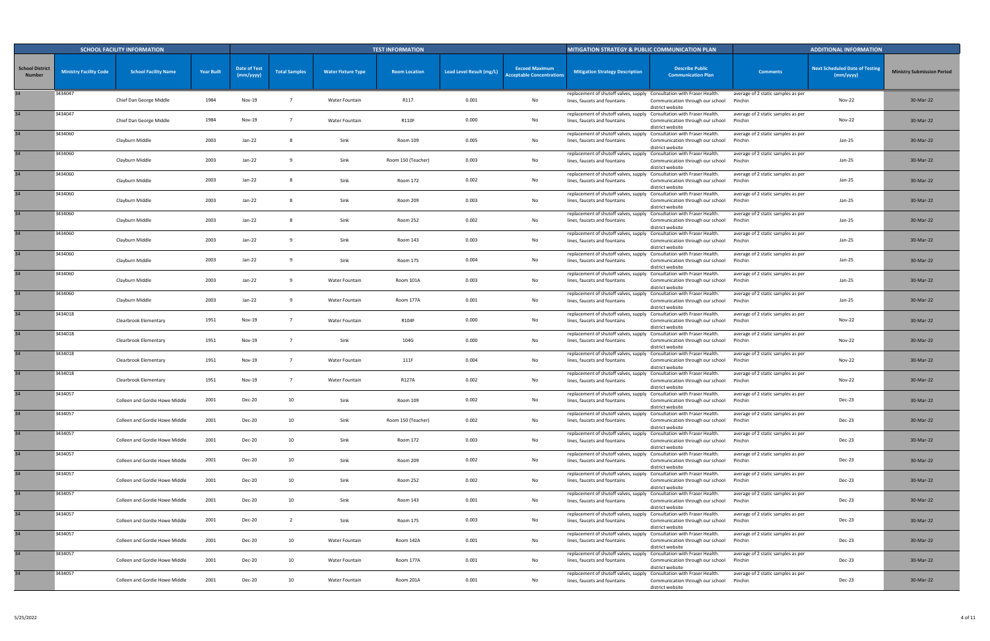|                                         |                               | <b>SCHOOL FACILITY INFORMATION</b> |                   |                                  |                      |                           | <b>TEST INFORMATION</b> |                          |                                                           | <b>MITIGATION STRATEGY &amp; PUBLIC COMMUNICATION PLAN</b>                                             |                                                      |                                               | <b>ADDITIONAL INFORMATION</b>                      |                                   |
|-----------------------------------------|-------------------------------|------------------------------------|-------------------|----------------------------------|----------------------|---------------------------|-------------------------|--------------------------|-----------------------------------------------------------|--------------------------------------------------------------------------------------------------------|------------------------------------------------------|-----------------------------------------------|----------------------------------------------------|-----------------------------------|
| <b>School District</b><br><b>Number</b> | <b>Ministry Facility Code</b> | <b>School Facility Name</b>        | <b>Year Built</b> | <b>Date of Test</b><br>(mm/yyyy) | <b>Total Samples</b> | <b>Water Fixture Type</b> | <b>Room Location</b>    | Lead Level Result (mg/L) | <b>Exceed Maximum</b><br><b>Acceptable Concentrations</b> | <b>Mitigation Strategy Description</b>                                                                 | <b>Describe Public</b><br><b>Communication Plan</b>  | <b>Comments</b>                               | <b>Next Scheduled Date of Testing</b><br>(mm/yyyy) | <b>Ministry Submission Period</b> |
| 34                                      | 3434047                       | Chief Dan George Middle            | 1984              | Nov-19                           |                      | Water Fountain            | R117                    | 0.001                    | No                                                        | replacement of shutoff valves, supply Consultation with Fraser Health.<br>lines, faucets and fountains | Communication through our school<br>district website | average of 2 static samples as per<br>Pinchin | <b>Nov-22</b>                                      | 30-Mar-22                         |
|                                         | 3434047                       | Chief Dan George Middle            | 1984              | Nov-19                           | - 7                  | Water Fountain            | <b>R110F</b>            | 0.000                    | No                                                        | replacement of shutoff valves, supply Consultation with Fraser Health.<br>lines, faucets and fountains | Communication through our school<br>district website | average of 2 static samples as per<br>Pinchin | Nov-22                                             | 30-Mar-22                         |
|                                         | 3434060                       | Clayburn Middle                    | 2003              | Jan-22                           |                      | Sink                      | Room 109                | 0.005                    | No                                                        | replacement of shutoff valves, supply Consultation with Fraser Health.<br>lines, faucets and fountains | Communication through our school<br>district website | average of 2 static samples as per<br>Pinchin | Jan-25                                             | 30-Mar-22                         |
|                                         | 3434060                       | Clayburn Middle                    | 2003              | Jan-22                           |                      | Sink                      | Room 150 (Teacher)      | 0.003                    | No                                                        | replacement of shutoff valves, supply Consultation with Fraser Health.<br>lines, faucets and fountains | Communication through our school<br>district website | average of 2 static samples as per<br>Pinchin | Jan-25                                             | 30-Mar-22                         |
|                                         | 3434060                       | Clayburn Middle                    | 2003              | Jan-22                           |                      | Sink                      | Room 172                | 0.002                    | No                                                        | replacement of shutoff valves, supply Consultation with Fraser Health.<br>lines, faucets and fountains | Communication through our school<br>district website | average of 2 static samples as per<br>Pinchin | Jan-25                                             | 30-Mar-22                         |
|                                         | 3434060                       | Clayburn Middle                    | 2003              | Jan-22                           |                      | Sink                      | Room 209                | 0.003                    | No                                                        | replacement of shutoff valves, supply Consultation with Fraser Health.<br>lines, faucets and fountains | Communication through our school<br>district website | average of 2 static samples as per<br>Pinchin | Jan-25                                             | 30-Mar-22                         |
|                                         | 3434060                       | Clayburn Middle                    | 2003              | Jan-22                           |                      | Sink                      | Room 252                | 0.002                    | No                                                        | replacement of shutoff valves, supply Consultation with Fraser Health.<br>lines, faucets and fountains | Communication through our school<br>district website | average of 2 static samples as per<br>Pinchin | Jan-25                                             | 30-Mar-22                         |
|                                         | 3434060                       | Clayburn Middle                    | 2003              | Jan-22                           |                      | Sink                      | Room 143                | 0.003                    | No                                                        | replacement of shutoff valves, supply Consultation with Fraser Health.<br>lines, faucets and fountains | Communication through our school<br>district website | average of 2 static samples as per<br>Pinchin | Jan-25                                             | 30-Mar-22                         |
|                                         | 3434060                       | Clayburn Middle                    | 2003              | Jan-22                           |                      | Sink                      | Room 175                | 0.004                    | No                                                        | replacement of shutoff valves, supply Consultation with Fraser Health<br>lines, faucets and fountains  | Communication through our school<br>district website | average of 2 static samples as per<br>Pinchin | Jan-25                                             | 30-Mar-22                         |
|                                         | 3434060                       | Clayburn Middle                    | 2003              | Jan-22                           |                      | Water Fountain            | Room 101A               | 0.003                    | No                                                        | replacement of shutoff valves, supply Consultation with Fraser Health.<br>lines, faucets and fountains | Communication through our school<br>district website | average of 2 static samples as per<br>Pinchin | Jan-25                                             | 30-Mar-22                         |
|                                         | 3434060                       | Clayburn Middle                    | 2003              | Jan-22                           | - 9                  | Water Fountain            | Room 177A               | 0.001                    | No                                                        | replacement of shutoff valves, supply Consultation with Fraser Health<br>lines, faucets and fountains  | Communication through our school<br>district website | average of 2 static samples as per<br>Pinchin | Jan-25                                             | 30-Mar-22                         |
|                                         | 3434018                       | Clearbrook Elementary              | 1951              | Nov-19                           |                      | Water Fountain            | R104F                   | 0.000                    | No                                                        | replacement of shutoff valves, supply Consultation with Fraser Health<br>lines, faucets and fountains  | Communication through our school<br>district website | average of 2 static samples as per<br>Pinchin | Nov-22                                             | 30-Mar-22                         |
|                                         | 3434018                       | Clearbrook Elementary              | 1951              | Nov-19                           | $\overline{7}$       | Sink                      | 104G                    | 0.000                    | No                                                        | replacement of shutoff valves, supply Consultation with Fraser Health.<br>lines, faucets and fountains | Communication through our school<br>district website | average of 2 static samples as per<br>Pinchin | <b>Nov-22</b>                                      | 30-Mar-22                         |
|                                         | 3434018                       | Clearbrook Elementary              | 1951              | Nov-19                           |                      | Water Fountain            | 111F                    | 0.004                    | No                                                        | replacement of shutoff valves, supply Consultation with Fraser Health.<br>lines, faucets and fountains | Communication through our school<br>district website | average of 2 static samples as per<br>Pinchin | Nov-22                                             | 30-Mar-22                         |
|                                         | 3434018                       | Clearbrook Elementary              | 1951              | Nov-19                           |                      | Water Fountain            | R127A                   | 0.002                    | No                                                        | replacement of shutoff valves, supply Consultation with Fraser Health.<br>lines, faucets and fountains | Communication through our school<br>district website | average of 2 static samples as per<br>Pinchin | Nov-22                                             | 30-Mar-22                         |
|                                         | 3434057                       | Colleen and Gordie Howe Middle     | 2001              | Dec-20                           | 10                   | Sink                      | Room 109                | 0.002                    | No                                                        | replacement of shutoff valves, supply Consultation with Fraser Health.<br>lines, faucets and fountains | Communication through our school<br>district website | average of 2 static samples as per<br>Pinchin | Dec-23                                             | 30-Mar-22                         |
|                                         | 3434057                       | Colleen and Gordie Howe Middle     | 2001              | Dec-20                           | 10                   | Sink                      | Room 150 (Teacher)      | 0.002                    | No                                                        | replacement of shutoff valves, supply Consultation with Fraser Health.<br>lines, faucets and fountains | Communication through our school<br>district website | average of 2 static samples as per<br>Pinchin | Dec-23                                             | 30-Mar-22                         |
| 34                                      | 3434057                       | Colleen and Gordie Howe Middle     | 2001              | Dec-20                           | 10                   | Sink                      | Room 172                | 0.003                    | No                                                        | replacement of shutoff valves, supply Consultation with Fraser Health.<br>lines, faucets and fountains | Communication through our school<br>district website | average of 2 static samples as per<br>Pinchin | Dec-23                                             | 30-Mar-22                         |
| 34                                      | 3434057                       | Colleen and Gordie Howe Middle     | 2001              | <b>Dec-20</b>                    | 10                   | Sink                      | Room 209                | 0.002                    | No                                                        | replacement of shutoff valves, supply Consultation with Fraser Health.<br>lines, faucets and fountains | Communication through our school<br>district website | average of 2 static samples as per<br>Pinchin | Dec-23                                             | 30-Mar-22                         |
|                                         | 3434057                       | Colleen and Gordie Howe Middle     | 2001              | Dec-20                           | 10                   | Sink                      | Room 252                | 0.002                    | No                                                        | replacement of shutoff valves, supply Consultation with Fraser Health.<br>lines, faucets and fountains | Communication through our school<br>district website | average of 2 static samples as per<br>Pinchin | Dec-23                                             | 30-Mar-22                         |
|                                         | 3434057                       | Colleen and Gordie Howe Middle     | 2001              | <b>Dec-20</b>                    | 10                   | Sink                      | Room 143                | 0.001                    | No                                                        | replacement of shutoff valves, supply Consultation with Fraser Health.<br>lines, faucets and fountains | Communication through our school<br>district website | average of 2 static samples as per<br>Pinchin | Dec-23                                             | 30-Mar-22                         |
| 34                                      | 3434057                       | Colleen and Gordie Howe Middle     | 2001              | Dec-20                           | 2                    | Sink                      | Room 175                | 0.003                    | No                                                        | replacement of shutoff valves, supply Consultation with Fraser Health.<br>lines, faucets and fountains | Communication through our school<br>district website | average of 2 static samples as per<br>Pinchin | Dec-23                                             | 30-Mar-22                         |
|                                         | 3434057                       | Colleen and Gordie Howe Middle     | 2001              | <b>Dec-20</b>                    | 10                   | Water Fountain            | Room 142A               | 0.001                    | No                                                        | replacement of shutoff valves, supply Consultation with Fraser Health.<br>lines, faucets and fountains | Communication through our school<br>district website | average of 2 static samples as per<br>Pinchin | Dec-23                                             | 30-Mar-22                         |
| 34                                      | 3434057                       | Colleen and Gordie Howe Middle     | 2001              | Dec-20                           | 10                   | Water Fountain            | Room 177A               | 0.001                    | No                                                        | replacement of shutoff valves, supply Consultation with Fraser Health.<br>lines, faucets and fountains | Communication through our school<br>district website | average of 2 static samples as per<br>Pinchin | Dec-23                                             | 30-Mar-22                         |
|                                         | 3434057                       | Colleen and Gordie Howe Middle     | 2001              | <b>Dec-20</b>                    | 10                   | Water Fountain            | Room 201A               | 0.001                    | No                                                        | replacement of shutoff valves, supply Consultation with Fraser Health.<br>lines, faucets and fountains | Communication through our school<br>district website | average of 2 static samples as per<br>Pinchin | Dec-23                                             | 30-Mar-22                         |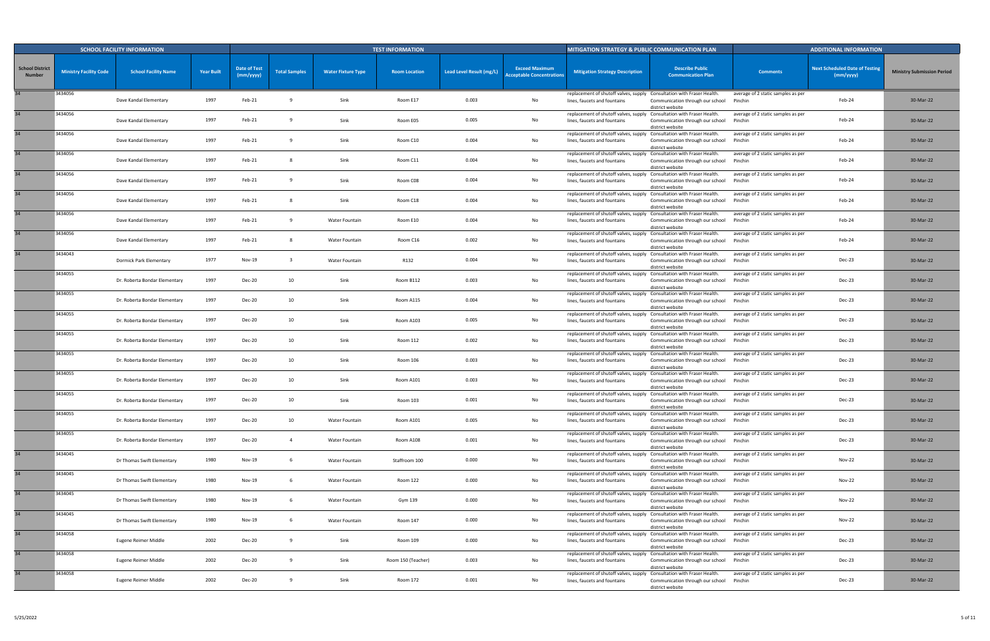|                                         |                               | <b>SCHOOL FACILITY INFORMATION</b> |                   |                                  |                      |                           | <b>TEST INFORMATION</b> |                          |                                                           | MITIGATION STRATEGY & PUBLIC COMMUNICATION PLAN                                                        |                                                      |                                               | <b>ADDITIONAL INFORMATION</b>                      |                                   |
|-----------------------------------------|-------------------------------|------------------------------------|-------------------|----------------------------------|----------------------|---------------------------|-------------------------|--------------------------|-----------------------------------------------------------|--------------------------------------------------------------------------------------------------------|------------------------------------------------------|-----------------------------------------------|----------------------------------------------------|-----------------------------------|
| <b>School District</b><br><b>Number</b> | <b>Ministry Facility Code</b> | <b>School Facility Name</b>        | <b>Year Built</b> | <b>Date of Test</b><br>(mm/yyyy) | <b>Total Samples</b> | <b>Water Fixture Type</b> | <b>Room Location</b>    | Lead Level Result (mg/L) | <b>Exceed Maximum</b><br><b>Acceptable Concentrations</b> | <b>Mitigation Strategy Description</b>                                                                 | <b>Describe Public</b><br><b>Communication Plan</b>  | <b>Comments</b>                               | <b>Next Scheduled Date of Testing</b><br>(mm/yyyy) | <b>Ministry Submission Period</b> |
| 34                                      | 3434056                       | Dave Kandal Elementary             | 1997              | Feb-21                           |                      | Sink                      | Room E17                | 0.003                    | No                                                        | replacement of shutoff valves, supply Consultation with Fraser Health.<br>lines, faucets and fountains | Communication through our school<br>district website | average of 2 static samples as per<br>Pinchin | Feb-24                                             | 30-Mar-22                         |
| 34                                      | 3434056                       | Dave Kandal Elementary             | 1997              | Feb-21                           |                      | Sink                      | Room E05                | 0.005                    | No                                                        | replacement of shutoff valves, supply Consultation with Fraser Health.<br>lines, faucets and fountains | Communication through our school<br>district website | average of 2 static samples as per<br>Pinchin | Feb-24                                             | 30-Mar-22                         |
| 34                                      | 3434056                       | Dave Kandal Elementary             | 1997              | Feb-21                           |                      | Sink                      | Room C10                | 0.004                    | No                                                        | replacement of shutoff valves, supply Consultation with Fraser Health.<br>lines, faucets and fountains | Communication through our school<br>district website | average of 2 static samples as per<br>Pinchin | Feb-24                                             | 30-Mar-22                         |
| 34                                      | 3434056                       | Dave Kandal Elementary             | 1997              | Feb-21                           |                      | Sink                      | Room C11                | 0.004                    | No                                                        | replacement of shutoff valves, supply Consultation with Fraser Health.<br>lines, faucets and fountains | Communication through our school<br>district website | average of 2 static samples as per<br>Pinchin | Feb-24                                             | 30-Mar-22                         |
|                                         | 3434056                       | Dave Kandal Elementary             | 1997              | Feb-21                           |                      | Sink                      | Room C08                | 0.004                    | No                                                        | replacement of shutoff valves, supply Consultation with Fraser Health.<br>lines, faucets and fountains | Communication through our school<br>district website | average of 2 static samples as per<br>Pinchin | Feb-24                                             | 30-Mar-22                         |
|                                         | 3434056                       | Dave Kandal Elementary             | 1997              | Feb-21                           |                      | Sink                      | Room C18                | 0.004                    | No                                                        | replacement of shutoff valves, supply Consultation with Fraser Health.<br>lines, faucets and fountains | Communication through our school<br>district website | average of 2 static samples as per<br>Pinchin | Feb-24                                             | 30-Mar-22                         |
| 34                                      | 3434056                       | Dave Kandal Elementary             | 1997              | Feb-21                           |                      | Water Fountain            | Room E10                | 0.004                    | No                                                        | replacement of shutoff valves, supply Consultation with Fraser Health.<br>lines, faucets and fountains | Communication through our school<br>district website | average of 2 static samples as per<br>Pinchin | Feb-24                                             | 30-Mar-22                         |
|                                         | 3434056                       | Dave Kandal Elementary             | 1997              | Feb-21                           |                      | Water Fountain            | Room C16                | 0.002                    | No                                                        | replacement of shutoff valves, supply Consultation with Fraser Health.<br>lines, faucets and fountains | Communication through our school<br>district website | average of 2 static samples as per<br>Pinchin | Feb-24                                             | 30-Mar-22                         |
|                                         | 3434043                       | Dormick Park Elementary            | 1977              | Nov-19                           | -3                   | Water Fountain            | R132                    | 0.004                    | No                                                        | replacement of shutoff valves, supply Consultation with Fraser Health.<br>lines, faucets and fountains | Communication through our school<br>district website | average of 2 static samples as per<br>Pinchin | Dec-23                                             | 30-Mar-22                         |
|                                         | 3434055                       | Dr. Roberta Bondar Elementary      | 1997              | <b>Dec-20</b>                    | 10                   | Sink                      | Room B112               | 0.003                    | No                                                        | replacement of shutoff valves, supply Consultation with Fraser Health<br>lines, faucets and fountains  | Communication through our school<br>district website | average of 2 static samples as per<br>Pinchin | Dec-23                                             | 30-Mar-22                         |
|                                         | 3434055                       | Dr. Roberta Bondar Elementary      | 1997              | <b>Dec-20</b>                    | 10                   | Sink                      | Room A115               | 0.004                    | No                                                        | replacement of shutoff valves, supply Consultation with Fraser Health<br>lines, faucets and fountains  | Communication through our school<br>district website | average of 2 static samples as per<br>Pinchin | Dec-23                                             | 30-Mar-22                         |
|                                         | 3434055                       | Dr. Roberta Bondar Elementary      | 1997              | <b>Dec-20</b>                    | 10                   | Sink                      | Room A103               | 0.005                    | No                                                        | replacement of shutoff valves, supply Consultation with Fraser Health<br>lines, faucets and fountains  | Communication through our school<br>district website | average of 2 static samples as per<br>Pinchin | Dec-23                                             | 30-Mar-22                         |
|                                         | 3434055                       | Dr. Roberta Bondar Elementary      | 1997              | <b>Dec-20</b>                    | 10                   | Sink                      | Room 112                | 0.002                    | No                                                        | replacement of shutoff valves, supply Consultation with Fraser Health<br>lines, faucets and fountains  | Communication through our school<br>district website | average of 2 static samples as per<br>Pinchin | Dec-23                                             | 30-Mar-22                         |
|                                         | 3434055                       | Dr. Roberta Bondar Elementary      | 1997              | <b>Dec-20</b>                    | 10                   | Sink                      | Room 106                | 0.003                    | No                                                        | replacement of shutoff valves, supply Consultation with Fraser Health.<br>lines, faucets and fountains | Communication through our school<br>district website | average of 2 static samples as per<br>Pinchin | Dec-23                                             | 30-Mar-22                         |
|                                         | 3434055                       | Dr. Roberta Bondar Elementary      | 1997              | <b>Dec-20</b>                    | 10                   | Sink                      | Room A101               | 0.003                    | No                                                        | replacement of shutoff valves, supply Consultation with Fraser Health.<br>lines, faucets and fountains | Communication through our school<br>district website | average of 2 static samples as per<br>Pinchin | Dec-23                                             | 30-Mar-22                         |
|                                         | 3434055                       | Dr. Roberta Bondar Elementary      | 1997              | <b>Dec-20</b>                    | 10                   | Sink                      | Room 103                | 0.001                    | No                                                        | replacement of shutoff valves, supply Consultation with Fraser Health.<br>lines, faucets and fountains | Communication through our school<br>district website | average of 2 static samples as per<br>Pinchin | Dec-23                                             | 30-Mar-22                         |
|                                         | 3434055                       | Dr. Roberta Bondar Elementary      | 1997              | <b>Dec-20</b>                    | 10                   | Water Fountain            | Room A101               | 0.005                    | No                                                        | replacement of shutoff valves, supply Consultation with Fraser Health.<br>lines, faucets and fountains | Communication through our school<br>district website | average of 2 static samples as per<br>Pinchin | Dec-23                                             | 30-Mar-22                         |
|                                         | 3434055                       | Dr. Roberta Bondar Elementary      | 1997              | <b>Dec-20</b>                    | $\overline{4}$       | Water Fountain            | Room A108               | 0.001                    | No                                                        | replacement of shutoff valves, supply Consultation with Fraser Health.<br>lines, faucets and fountains | Communication through our school<br>district website | average of 2 static samples as per<br>Pinchin | Dec-23                                             | 30-Mar-22                         |
| 34                                      | 3434045                       | Dr Thomas Swift Elementary         | 1980              | Nov-19                           | - 6                  | Water Fountain            | Staffroom 100           | 0.000                    | No                                                        | replacement of shutoff valves, supply Consultation with Fraser Health.<br>lines, faucets and fountains | Communication through our school<br>district website | average of 2 static samples as per<br>Pinchin | <b>Nov-22</b>                                      | 30-Mar-22                         |
| 34                                      | 3434045                       | Dr Thomas Swift Elementary         | 1980              | Nov-19                           | - 6                  | Water Fountain            | Room 122                | 0.000                    | No                                                        | replacement of shutoff valves, supply Consultation with Fraser Health.<br>lines, faucets and fountains | Communication through our school<br>district website | average of 2 static samples as per<br>Pinchin | <b>Nov-22</b>                                      | 30-Mar-22                         |
| 34                                      | 3434045                       | Dr Thomas Swift Elementary         | 1980              | Nov-19                           | -6                   | Water Fountain            | Gym 139                 | 0.000                    | No                                                        | replacement of shutoff valves, supply Consultation with Fraser Health.<br>lines, faucets and fountains | Communication through our school<br>district website | average of 2 static samples as per<br>Pinchin | Nov-22                                             | 30-Mar-22                         |
| 34                                      | 3434045                       | Dr Thomas Swift Elementary         | 1980              | Nov-19                           | - 6                  | Water Fountain            | Room 147                | 0.000                    | No                                                        | replacement of shutoff valves, supply Consultation with Fraser Health.<br>lines, faucets and fountains | Communication through our school<br>district website | average of 2 static samples as per<br>Pinchin | Nov-22                                             | 30-Mar-22                         |
| 34                                      | 3434058                       | Eugene Reimer Middle               | 2002              | <b>Dec-20</b>                    | $\mathbf{q}$         | Sink                      | Room 109                | 0.000                    | No                                                        | replacement of shutoff valves, supply Consultation with Fraser Health.<br>lines, faucets and fountains | Communication through our school<br>district website | average of 2 static samples as per<br>Pinchin | Dec-23                                             | 30-Mar-22                         |
| 34                                      | 3434058                       | Eugene Reimer Middle               | 2002              | <b>Dec-20</b>                    | -9                   | Sink                      | Room 150 (Teacher)      | 0.003                    | No                                                        | replacement of shutoff valves, supply Consultation with Fraser Health.<br>lines, faucets and fountains | Communication through our school<br>district website | average of 2 static samples as per<br>Pinchin | Dec-23                                             | 30-Mar-22                         |
|                                         | 3434058                       | Eugene Reimer Middle               | 2002              | <b>Dec-20</b>                    |                      | Sink                      | Room 172                | 0.001                    | No                                                        | replacement of shutoff valves, supply Consultation with Fraser Health.<br>lines, faucets and fountains | Communication through our school<br>district website | average of 2 static samples as per<br>Pinchin | Dec-23                                             | 30-Mar-22                         |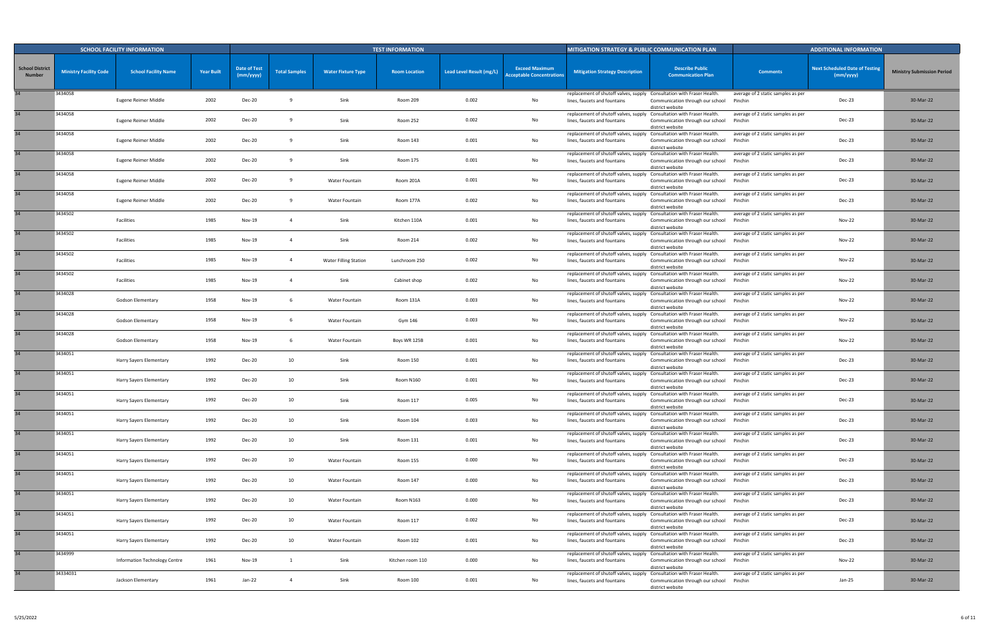|                                         |                               | <b>SCHOOL FACILITY INFORMATION</b> |                   |                                  |                      |                              | <b>TEST INFORMATION</b> |                          |                                                           | <b>MITIGATION STRATEGY &amp; PUBLIC COMMUNICATION PLAN</b>                                             |                                                      |                                               | <b>ADDITIONAL INFORMATION</b>                      |                                   |
|-----------------------------------------|-------------------------------|------------------------------------|-------------------|----------------------------------|----------------------|------------------------------|-------------------------|--------------------------|-----------------------------------------------------------|--------------------------------------------------------------------------------------------------------|------------------------------------------------------|-----------------------------------------------|----------------------------------------------------|-----------------------------------|
| <b>School District</b><br><b>Number</b> | <b>Ministry Facility Code</b> | <b>School Facility Name</b>        | <b>Year Built</b> | <b>Date of Test</b><br>(mm/yyyy) | <b>Total Samples</b> | <b>Water Fixture Type</b>    | <b>Room Location</b>    | Lead Level Result (mg/L) | <b>Exceed Maximum</b><br><b>Acceptable Concentrations</b> | <b>Mitigation Strategy Description</b>                                                                 | <b>Describe Public</b><br><b>Communication Plan</b>  | <b>Comments</b>                               | <b>Next Scheduled Date of Testing</b><br>(mm/yyyy) | <b>Ministry Submission Period</b> |
|                                         | 3434058                       | Eugene Reimer Middle               | 2002              | Dec-20                           |                      | Sink                         | Room 209                | 0.002                    | No                                                        | replacement of shutoff valves, supply Consultation with Fraser Health.<br>lines, faucets and fountains | Communication through our school<br>district website | average of 2 static samples as per<br>Pinchin | Dec-23                                             | 30-Mar-22                         |
|                                         | 3434058                       | Eugene Reimer Middle               | 2002              | Dec-20                           |                      | Sink                         | Room 252                | 0.002                    | No                                                        | replacement of shutoff valves, supply Consultation with Fraser Health.<br>lines, faucets and fountains | Communication through our school<br>district website | average of 2 static samples as per<br>Pinchin | Dec-23                                             | 30-Mar-22                         |
|                                         | 3434058                       | Eugene Reimer Middle               | 2002              | <b>Dec-20</b>                    |                      | Sink                         | Room 143                | 0.001                    | No                                                        | replacement of shutoff valves, supply Consultation with Fraser Health.<br>lines, faucets and fountains | Communication through our school<br>district website | average of 2 static samples as per<br>Pinchin | Dec-23                                             | 30-Mar-22                         |
|                                         | 3434058                       | Eugene Reimer Middle               | 2002              | Dec-20                           |                      | Sink                         | Room 175                | 0.001                    | No                                                        | replacement of shutoff valves, supply Consultation with Fraser Health.<br>lines, faucets and fountains | Communication through our school<br>district website | average of 2 static samples as per<br>Pinchin | Dec-23                                             | 30-Mar-22                         |
|                                         | 3434058                       | Eugene Reimer Middle               | 2002              | Dec-20                           | - 9                  | Water Fountain               | Room 201A               | 0.001                    | No                                                        | replacement of shutoff valves, supply Consultation with Fraser Health.<br>lines, faucets and fountains | Communication through our school<br>district website | average of 2 static samples as per<br>Pinchin | Dec-23                                             | 30-Mar-22                         |
|                                         | 3434058                       | Eugene Reimer Middle               | 2002              | <b>Dec-20</b>                    |                      | Water Fountain               | Room 177A               | 0.002                    | No                                                        | replacement of shutoff valves, supply Consultation with Fraser Health.<br>lines, faucets and fountains | Communication through our school<br>district website | average of 2 static samples as per<br>Pinchin | Dec-23                                             | 30-Mar-22                         |
|                                         | 3434502                       | Facilities                         | 1985              | <b>Nov-19</b>                    |                      | Sink                         | Kitchen 110A            | 0.001                    | No                                                        | replacement of shutoff valves, supply Consultation with Fraser Health.<br>lines, faucets and fountains | Communication through our school<br>district website | average of 2 static samples as per<br>Pinchin | <b>Nov-22</b>                                      | 30-Mar-22                         |
|                                         | 3434502                       | Facilities                         | 1985              | Nov-19                           |                      | Sink                         | Room 214                | 0.002                    | No                                                        | replacement of shutoff valves, supply Consultation with Fraser Health.<br>lines, faucets and fountains | Communication through our school<br>district website | average of 2 static samples as per<br>Pinchin | Nov-22                                             | 30-Mar-22                         |
|                                         | 3434502                       | Facilities                         | 1985              | <b>Nov-19</b>                    | -4                   | <b>Water Filling Station</b> | Lunchroom 250           | 0.002                    | No                                                        | replacement of shutoff valves, supply Consultation with Fraser Health<br>lines, faucets and fountains  | Communication through our school<br>district website | average of 2 static samples as per<br>Pinchin | <b>Nov-22</b>                                      | 30-Mar-22                         |
|                                         | 3434502                       | Facilities                         | 1985              | Nov-19                           |                      | Sink                         | Cabinet shop            | 0.002                    | No                                                        | replacement of shutoff valves, supply Consultation with Fraser Health.<br>lines, faucets and fountains | Communication through our school<br>district website | average of 2 static samples as per<br>Pinchin | Nov-22                                             | 30-Mar-22                         |
|                                         | 3434028                       | Godson Elementary                  | 1958              | Nov-19                           |                      | Water Fountain               | Room 131A               | 0.003                    | No                                                        | replacement of shutoff valves, supply Consultation with Fraser Health<br>lines, faucets and fountains  | Communication through our school<br>district website | average of 2 static samples as per<br>Pinchin | <b>Nov-22</b>                                      | 30-Mar-22                         |
|                                         | 3434028                       | Godson Elementary                  | 1958              | <b>Nov-19</b>                    |                      | Water Fountain               | Gym 146                 | 0.003                    | No                                                        | replacement of shutoff valves, supply Consultation with Fraser Health<br>lines, faucets and fountains  | Communication through our school<br>district website | average of 2 static samples as per<br>Pinchin | Nov-22                                             | 30-Mar-22                         |
|                                         | 3434028                       | Godson Elementary                  | 1958              | <b>Nov-19</b>                    |                      | Water Fountain               | Boys WR 125B            | 0.001                    | No                                                        | replacement of shutoff valves, supply Consultation with Fraser Health.<br>lines, faucets and fountains | Communication through our school<br>district website | average of 2 static samples as per<br>Pinchin | <b>Nov-22</b>                                      | 30-Mar-22                         |
|                                         | 3434051                       | Harry Sayers Elementary            | 1992              | <b>Dec-20</b>                    | 10                   | Sink                         | Room 150                | 0.001                    | No                                                        | replacement of shutoff valves, supply Consultation with Fraser Health.<br>lines, faucets and fountains | Communication through our school<br>district website | average of 2 static samples as per<br>Pinchin | Dec-23                                             | 30-Mar-22                         |
|                                         | 3434051                       | Harry Sayers Elementary            | 1992              | Dec-20                           | 10                   | Sink                         | Room N160               | 0.001                    | No                                                        | replacement of shutoff valves, supply Consultation with Fraser Health.<br>lines, faucets and fountains | Communication through our school<br>district website | average of 2 static samples as per<br>Pinchin | Dec-23                                             | 30-Mar-22                         |
|                                         | 3434051                       | Harry Sayers Elementary            | 1992              | Dec-20                           | 10                   | Sink                         | Room 117                | 0.005                    | No                                                        | replacement of shutoff valves, supply Consultation with Fraser Health.<br>lines, faucets and fountains | Communication through our school<br>district website | average of 2 static samples as per<br>Pinchin | Dec-23                                             | 30-Mar-22                         |
| 34                                      | 3434051                       | Harry Sayers Elementary            | 1992              | <b>Dec-20</b>                    | 10                   | Sink                         | Room 104                | 0.003                    | No                                                        | replacement of shutoff valves, supply Consultation with Fraser Health.<br>lines, faucets and fountains | Communication through our school<br>district website | average of 2 static samples as per<br>Pinchin | Dec-23                                             | 30-Mar-22                         |
| 34                                      | 3434051                       | Harry Sayers Elementary            | 1992              | <b>Dec-20</b>                    | 10                   | Sink                         | Room 131                | 0.001                    | No                                                        | replacement of shutoff valves, supply Consultation with Fraser Health.<br>lines, faucets and fountains | Communication through our school<br>district website | average of 2 static samples as per<br>Pinchin | Dec-23                                             | 30-Mar-22                         |
| 34                                      | 3434051                       | Harry Sayers Elementary            | 1992              | Dec-20                           | 10                   | Water Fountain               | Room 155                | 0.000                    | No                                                        | replacement of shutoff valves, supply Consultation with Fraser Health.<br>lines, faucets and fountains | Communication through our school<br>district website | average of 2 static samples as per<br>Pinchin | Dec-23                                             | 30-Mar-22                         |
| 34                                      | 3434051                       | Harry Sayers Elementary            | 1992              | Dec-20                           | 10                   | Water Fountain               | Room 147                | 0.000                    | No                                                        | replacement of shutoff valves, supply Consultation with Fraser Health.<br>lines, faucets and fountains | Communication through our school<br>district website | average of 2 static samples as per<br>Pinchin | Dec-23                                             | 30-Mar-22                         |
| 34                                      | 3434051                       | Harry Sayers Elementary            | 1992              | Dec-20                           | 10                   | Water Fountain               | Room N163               | 0.000                    | No                                                        | replacement of shutoff valves, supply Consultation with Fraser Health.<br>lines, faucets and fountains | Communication through our school<br>district website | average of 2 static samples as per<br>Pinchin | Dec-23                                             | 30-Mar-22                         |
| 34                                      | 3434051                       | Harry Sayers Elementary            | 1992              | Dec-20                           | 10                   | Water Fountain               | Room 117                | 0.002                    | No                                                        | replacement of shutoff valves, supply Consultation with Fraser Health.<br>lines, faucets and fountains | Communication through our school<br>district website | average of 2 static samples as per<br>Pinchin | Dec-23                                             | 30-Mar-22                         |
| 34                                      | 3434051                       | Harry Sayers Elementary            | 1992              | Dec-20                           | 10                   | Water Fountain               | Room 102                | 0.001                    | No                                                        | replacement of shutoff valves, supply Consultation with Fraser Health.<br>lines, faucets and fountains | Communication through our school<br>district website | average of 2 static samples as per<br>Pinchin | Dec-23                                             | 30-Mar-22                         |
| 34                                      | 3434999                       | Information Technology Centre      | 1961              | <b>Nov-19</b>                    | 1                    | Sink                         | Kitchen room 110        | 0.000                    | No                                                        | replacement of shutoff valves, supply Consultation with Fraser Health.<br>lines, faucets and fountains | Communication through our school<br>district website | average of 2 static samples as per<br>Pinchin | <b>Nov-22</b>                                      | 30-Mar-22                         |
|                                         | 34334031                      | Jackson Elementary                 | 1961              | Jan-22                           | $\overline{4}$       | Sink                         | Room 100                | 0.001                    | No                                                        | replacement of shutoff valves, supply Consultation with Fraser Health.<br>lines, faucets and fountains | Communication through our school<br>district website | average of 2 static samples as per<br>Pinchin | Jan-25                                             | 30-Mar-22                         |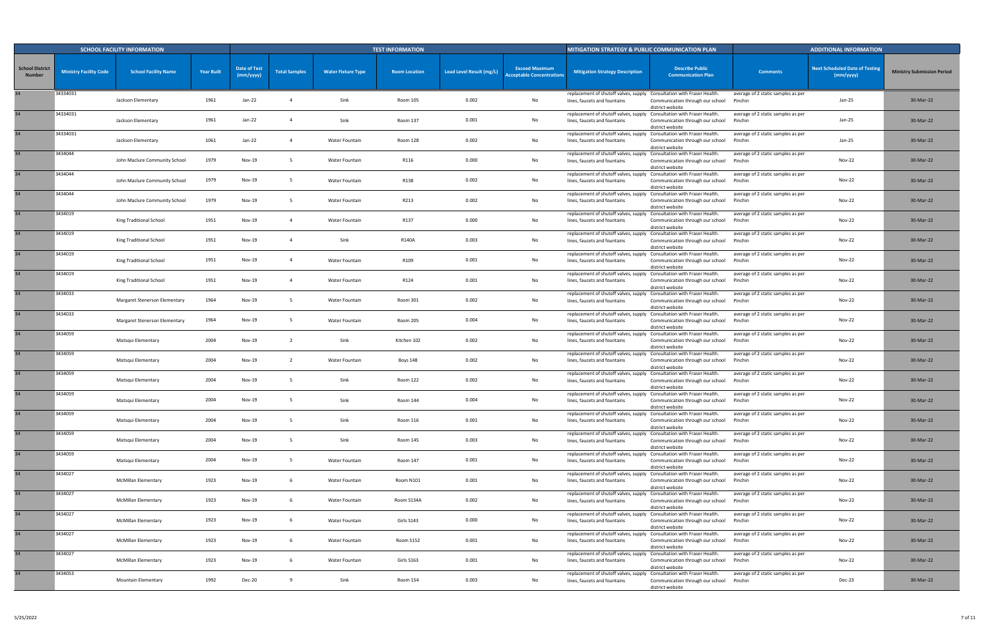|                                         |                               | <b>SCHOOL FACILITY INFORMATION</b> |                   |                                  |                      |                           | <b>TEST INFORMATION</b> |                          |                                                           | <b>MITIGATION STRATEGY &amp; PUBLIC COMMUNICATION PLAN</b>                                             |                                                      |                                               | <b>ADDITIONAL INFORMATION</b>                      |                                   |
|-----------------------------------------|-------------------------------|------------------------------------|-------------------|----------------------------------|----------------------|---------------------------|-------------------------|--------------------------|-----------------------------------------------------------|--------------------------------------------------------------------------------------------------------|------------------------------------------------------|-----------------------------------------------|----------------------------------------------------|-----------------------------------|
| <b>School District</b><br><b>Number</b> | <b>Ministry Facility Code</b> | <b>School Facility Name</b>        | <b>Year Built</b> | <b>Date of Test</b><br>(mm/yyyy) | <b>Total Samples</b> | <b>Water Fixture Type</b> | <b>Room Location</b>    | Lead Level Result (mg/L) | <b>Exceed Maximum</b><br><b>Acceptable Concentrations</b> | <b>Mitigation Strategy Description</b>                                                                 | <b>Describe Public</b><br><b>Communication Plan</b>  | <b>Comments</b>                               | <b>Next Scheduled Date of Testing</b><br>(mm/yyyy) | <b>Ministry Submission Period</b> |
|                                         | 34334031                      | Jackson Elementary                 | 1961              | Jan-22                           |                      | Sink                      | Room 105                | 0.002                    | No                                                        | replacement of shutoff valves, supply Consultation with Fraser Health.<br>lines, faucets and fountains | Communication through our school<br>district website | average of 2 static samples as per<br>Pinchin | Jan-25                                             | 30-Mar-22                         |
| 34                                      | 34334031                      | Jackson Elementary                 | 1961              | Jan-22                           |                      | Sink                      | Room 137                | 0.001                    | No                                                        | replacement of shutoff valves, supply Consultation with Fraser Health.<br>lines, faucets and fountains | Communication through our school<br>district website | average of 2 static samples as per<br>Pinchin | Jan-25                                             | 30-Mar-22                         |
| 34                                      | 34334031                      | Jackson Elementary                 | 1061              | Jan-22                           |                      | Water Fountain            | Room 128                | 0.002                    | No                                                        | replacement of shutoff valves, supply Consultation with Fraser Health.<br>lines, faucets and fountains | Communication through our school<br>district website | average of 2 static samples as per<br>Pinchin | Jan-25                                             | 30-Mar-22                         |
| 34                                      | 3434044                       | John Maclure Community School      | 1979              | Nov-19                           |                      | Water Fountain            | R116                    | 0.000                    | No                                                        | replacement of shutoff valves, supply Consultation with Fraser Health.<br>lines, faucets and fountains | Communication through our school<br>district website | average of 2 static samples as per<br>Pinchin | Nov-22                                             | 30-Mar-22                         |
|                                         | 3434044                       | John Maclure Community School      | 1979              | Nov-19                           |                      | Water Fountain            | R138                    | 0.002                    | No                                                        | replacement of shutoff valves, supply Consultation with Fraser Health.<br>lines, faucets and fountains | Communication through our school<br>district website | average of 2 static samples as per<br>Pinchin | <b>Nov-22</b>                                      | 30-Mar-22                         |
| 34                                      | 3434044                       | John Maclure Community School      | 1979              | <b>Nov-19</b>                    |                      | Water Fountain            | R213                    | 0.002                    | No                                                        | replacement of shutoff valves, supply Consultation with Fraser Health.<br>lines, faucets and fountains | Communication through our school<br>district website | average of 2 static samples as per<br>Pinchin | <b>Nov-22</b>                                      | 30-Mar-22                         |
|                                         | 3434019                       | King Traditional School            | 1951              | <b>Nov-19</b>                    |                      | Water Fountain            | R137                    | 0.000                    | No                                                        | replacement of shutoff valves, supply Consultation with Fraser Health.<br>lines, faucets and fountains | Communication through our school<br>district website | average of 2 static samples as per<br>Pinchin | <b>Nov-22</b>                                      | 30-Mar-22                         |
|                                         | 3434019                       | King Traditional School            | 1951              | Nov-19                           |                      | Sink                      | R140A                   | 0.003                    | No                                                        | replacement of shutoff valves, supply Consultation with Fraser Health.<br>lines, faucets and fountains | Communication through our school<br>district website | average of 2 static samples as per<br>Pinchin | Nov-22                                             | 30-Mar-22                         |
| 34                                      | 3434019                       | King Traditional School            | 1951              | <b>Nov-19</b>                    |                      | Water Fountain            | R109                    | 0.001                    | No                                                        | replacement of shutoff valves, supply Consultation with Fraser Health.<br>lines, faucets and fountains | Communication through our school<br>district website | average of 2 static samples as per<br>Pinchin | <b>Nov-22</b>                                      | 30-Mar-22                         |
| 34                                      | 3434019                       | King Traditional School            | 1951              | Nov-19                           |                      | Water Fountain            | R124                    | 0.001                    | No                                                        | replacement of shutoff valves, supply Consultation with Fraser Health.<br>lines, faucets and fountains | Communication through our school<br>district website | average of 2 static samples as per<br>Pinchin | Nov-22                                             | 30-Mar-22                         |
| 34                                      | 3434033                       | Margaret Stenerson Elementary      | 1964              | Nov-19                           |                      | Water Fountain            | Room 301                | 0.002                    | No                                                        | replacement of shutoff valves, supply Consultation with Fraser Health<br>lines, faucets and fountains  | Communication through our school<br>district website | average of 2 static samples as per<br>Pinchin | <b>Nov-22</b>                                      | 30-Mar-22                         |
| 34                                      | 3434033                       | Margaret Stenerson Elementary      | 1964              | Nov-19                           |                      | Water Fountain            | Room 205                | 0.004                    | No                                                        | replacement of shutoff valves, supply Consultation with Fraser Health.<br>lines, faucets and fountains | Communication through our school<br>district website | average of 2 static samples as per<br>Pinchin | Nov-22                                             | 30-Mar-22                         |
|                                         | 3434059                       | Matsqui Elementary                 | 2004              | Nov-19                           |                      | Sink                      | Kitchen 102             | 0.002                    | No                                                        | replacement of shutoff valves, supply Consultation with Fraser Health.<br>lines, faucets and fountains | Communication through our school<br>district website | average of 2 static samples as per<br>Pinchin | <b>Nov-22</b>                                      | 30-Mar-22                         |
| 34 <sup>5</sup>                         | 3434059                       | Matsqui Elementary                 | 2004              | Nov-19                           |                      | Water Fountain            | <b>Boys 148</b>         | 0.002                    | No                                                        | replacement of shutoff valves, supply Consultation with Fraser Health.<br>lines, faucets and fountains | Communication through our school<br>district website | average of 2 static samples as per<br>Pinchin | Nov-22                                             | 30-Mar-22                         |
| 34                                      | 3434059                       | Matsqui Elementary                 | 2004              | <b>Nov-19</b>                    |                      | Sink                      | Room 122                | 0.002                    | No                                                        | replacement of shutoff valves, supply Consultation with Fraser Health.<br>lines, faucets and fountains | Communication through our school<br>district website | average of 2 static samples as per<br>Pinchin | <b>Nov-22</b>                                      | 30-Mar-22                         |
|                                         | 3434059                       | Matsqui Elementary                 | 2004              | Nov-19                           |                      | Sink                      | Room 144                | 0.004                    | No                                                        | replacement of shutoff valves, supply Consultation with Fraser Health.<br>lines, faucets and fountains | Communication through our school<br>district website | average of 2 static samples as per<br>Pinchin | Nov-22                                             | 30-Mar-22                         |
| 34                                      | 3434059                       | Matsqui Elementary                 | 2004              | <b>Nov-19</b>                    | - 5                  | Sink                      | Room 116                | 0.001                    | No                                                        | replacement of shutoff valves, supply Consultation with Fraser Health.<br>lines, faucets and fountains | Communication through our school<br>district website | average of 2 static samples as per<br>Pinchin | <b>Nov-22</b>                                      | 30-Mar-22                         |
| 34                                      | 3434059                       | Matsqui Elementary                 | 2004              | Nov-19                           | - 5                  | Sink                      | Room 145                | 0.003                    | No                                                        | replacement of shutoff valves, supply Consultation with Fraser Health.<br>lines, faucets and fountains | Communication through our school<br>district website | average of 2 static samples as per<br>Pinchin | <b>Nov-22</b>                                      | 30-Mar-22                         |
| 34                                      | 3434059                       | Matsqui Elementary                 | 2004              | Nov-19                           | - 5                  | Water Fountain            | Room 147                | 0.001                    | No                                                        | replacement of shutoff valves, supply Consultation with Fraser Health.<br>lines, faucets and fountains | Communication through our school<br>district website | average of 2 static samples as per<br>Pinchin | Nov-22                                             | 30-Mar-22                         |
| 34                                      | 3434027                       | <b>McMillan Elementary</b>         | 1923              | Nov-19                           | - 6                  | Water Fountain            | Room N101               | 0.001                    | No                                                        | replacement of shutoff valves, supply Consultation with Fraser Health.<br>lines, faucets and fountains | Communication through our school<br>district website | average of 2 static samples as per<br>Pinchin | <b>Nov-22</b>                                      | 30-Mar-22                         |
| 34                                      | 3434027                       | McMillan Elementary                | 1923              | Nov-19                           | 6                    | Water Fountain            | Room S134A              | 0.002                    | No                                                        | replacement of shutoff valves, supply Consultation with Fraser Health.<br>lines, faucets and fountains | Communication through our school<br>district website | average of 2 static samples as per<br>Pinchin | Nov-22                                             | 30-Mar-22                         |
| 34 <sup>5</sup>                         | 3434027                       | <b>McMillan Elementary</b>         | 1923              | Nov-19                           | -6                   | Water Fountain            | Girls S143              | 0.000                    | No                                                        | replacement of shutoff valves, supply Consultation with Fraser Health.<br>lines, faucets and fountains | Communication through our school<br>district website | average of 2 static samples as per<br>Pinchin | <b>Nov-22</b>                                      | 30-Mar-22                         |
| 34                                      | 3434027                       | McMillan Elementary                | 1923              | Nov-19                           | - 6                  | Water Fountain            | Room S152               | 0.001                    | No                                                        | replacement of shutoff valves, supply Consultation with Fraser Health.<br>lines, faucets and fountains | Communication through our school<br>district website | average of 2 static samples as per<br>Pinchin | <b>Nov-22</b>                                      | 30-Mar-22                         |
| 34                                      | 3434027                       | <b>McMillan Elementary</b>         | 1923              | Nov-19                           | -6                   | Water Fountain            | Girls S163              | 0.001                    | No                                                        | replacement of shutoff valves, supply Consultation with Fraser Health.<br>lines, faucets and fountains | Communication through our school<br>district website | average of 2 static samples as per<br>Pinchin | <b>Nov-22</b>                                      | 30-Mar-22                         |
|                                         | 3434053                       | Mountain Elementary                | 1992              | <b>Dec-20</b>                    |                      | Sink                      | Room 154                | 0.003                    | No                                                        | replacement of shutoff valves, supply Consultation with Fraser Health.<br>lines, faucets and fountains | Communication through our school<br>district website | average of 2 static samples as per<br>Pinchin | Dec-23                                             | 30-Mar-22                         |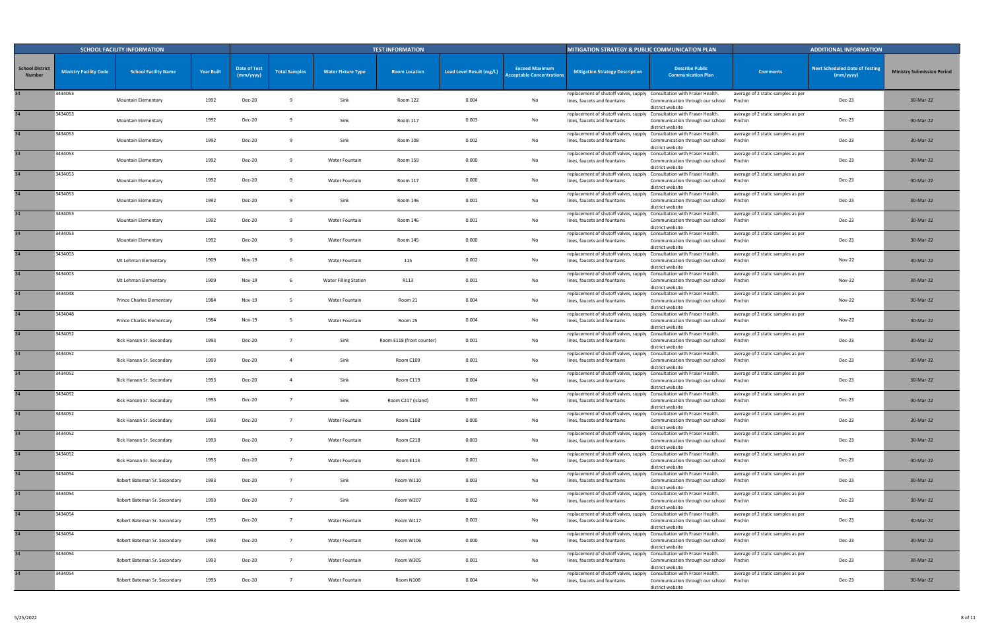|                                         |                               | <b>SCHOOL FACILITY INFORMATION</b> |                   |                                  |                      |                              | <b>TEST INFORMATION</b>   |                          |                                                           | MITIGATION STRATEGY & PUBLIC COMMUNICATION PLAN                                                        |                                                      |                                               | <b>ADDITIONAL INFORMATION</b>                      |                                   |
|-----------------------------------------|-------------------------------|------------------------------------|-------------------|----------------------------------|----------------------|------------------------------|---------------------------|--------------------------|-----------------------------------------------------------|--------------------------------------------------------------------------------------------------------|------------------------------------------------------|-----------------------------------------------|----------------------------------------------------|-----------------------------------|
| <b>School District</b><br><b>Number</b> | <b>Ministry Facility Code</b> | <b>School Facility Name</b>        | <b>Year Built</b> | <b>Date of Test</b><br>(mm/yyyy) | <b>Total Samples</b> | <b>Water Fixture Type</b>    | <b>Room Location</b>      | Lead Level Result (mg/L) | <b>Exceed Maximum</b><br><b>Acceptable Concentrations</b> | <b>Mitigation Strategy Description</b>                                                                 | <b>Describe Public</b><br><b>Communication Plan</b>  | <b>Comments</b>                               | <b>Next Scheduled Date of Testing</b><br>(mm/yyyy) | <b>Ministry Submission Period</b> |
|                                         | 3434053                       | Mountain Elementary                | 1992              | <b>Dec-20</b>                    |                      | Sink                         | Room 122                  | 0.004                    | No                                                        | replacement of shutoff valves, supply Consultation with Fraser Health.<br>lines, faucets and fountains | Communication through our school<br>district website | average of 2 static samples as per<br>Pinchin | Dec-23                                             | 30-Mar-22                         |
| 34                                      | 3434053                       | <b>Mountain Elementary</b>         | 1992              | <b>Dec-20</b>                    |                      | Sink                         | Room 117                  | 0.003                    | No                                                        | replacement of shutoff valves, supply Consultation with Fraser Health.<br>lines, faucets and fountains | Communication through our school<br>district website | average of 2 static samples as per<br>Pinchin | Dec-23                                             | 30-Mar-22                         |
| 34                                      | 3434053                       | Mountain Elementary                | 1992              | <b>Dec-20</b>                    |                      | Sink                         | Room 108                  | 0.002                    | No                                                        | replacement of shutoff valves, supply Consultation with Fraser Health.<br>lines, faucets and fountains | Communication through our school<br>district website | average of 2 static samples as per<br>Pinchin | Dec-23                                             | 30-Mar-22                         |
| 34                                      | 3434053                       | Mountain Elementary                | 1992              | <b>Dec-20</b>                    |                      | Water Fountain               | Room 159                  | 0.000                    | No                                                        | replacement of shutoff valves, supply Consultation with Fraser Health.<br>lines, faucets and fountains | Communication through our school<br>district website | average of 2 static samples as per<br>Pinchin | Dec-23                                             | 30-Mar-22                         |
|                                         | 3434053                       | Mountain Elementary                | 1992              | <b>Dec-20</b>                    |                      | Water Fountain               | Room 117                  | 0.000                    | No                                                        | replacement of shutoff valves, supply Consultation with Fraser Health.<br>lines, faucets and fountains | Communication through our school<br>district website | average of 2 static samples as per<br>Pinchin | Dec-23                                             | 30-Mar-22                         |
|                                         | 3434053                       | Mountain Elementary                | 1992              | <b>Dec-20</b>                    |                      | Sink                         | Room 146                  | 0.001                    | No                                                        | replacement of shutoff valves, supply Consultation with Fraser Health.<br>lines, faucets and fountains | Communication through our school<br>district website | average of 2 static samples as per<br>Pinchin | Dec-23                                             | 30-Mar-22                         |
| 34                                      | 3434053                       | Mountain Elementary                | 1992              | <b>Dec-20</b>                    |                      | Water Fountain               | Room 146                  | 0.001                    | No                                                        | replacement of shutoff valves, supply Consultation with Fraser Health.<br>lines, faucets and fountains | Communication through our school<br>district website | average of 2 static samples as per<br>Pinchin | Dec-23                                             | 30-Mar-22                         |
|                                         | 3434053                       | Mountain Elementary                | 1992              | <b>Dec-20</b>                    |                      | Water Fountain               | Room 145                  | 0.000                    | No                                                        | replacement of shutoff valves, supply Consultation with Fraser Health.<br>lines, faucets and fountains | Communication through our school<br>district website | average of 2 static samples as per<br>Pinchin | <b>Dec-23</b>                                      | 30-Mar-22                         |
|                                         | 3434003                       | Mt Lehman Elementary               | 1909              | Nov-19                           |                      | Water Fountain               | 115                       | 0.002                    | No                                                        | replacement of shutoff valves, supply Consultation with Fraser Health.<br>lines, faucets and fountains | Communication through our school<br>district website | average of 2 static samples as per<br>Pinchin | Nov-22                                             | 30-Mar-22                         |
| 34                                      | 3434003                       | Mt Lehman Elementary               | 1909              | <b>Nov-19</b>                    |                      | <b>Water Filling Station</b> | R113                      | 0.001                    | No                                                        | replacement of shutoff valves, supply Consultation with Fraser Health<br>lines, faucets and fountains  | Communication through our school<br>district website | average of 2 static samples as per<br>Pinchin | <b>Nov-22</b>                                      | 30-Mar-22                         |
| 34                                      | 3434048                       | Prince Charles Elementary          | 1984              | Nov-19                           |                      | Water Fountain               | Room 21                   | 0.004                    | No                                                        | replacement of shutoff valves, supply Consultation with Fraser Health<br>lines, faucets and fountains  | Communication through our school<br>district website | average of 2 static samples as per<br>Pinchin | Nov-22                                             | 30-Mar-22                         |
| 34                                      | 3434048                       | Prince Charles Elementary          | 1984              | Nov-19                           |                      | Water Fountain               | Room 25                   | 0.004                    | No                                                        | replacement of shutoff valves, supply Consultation with Fraser Health<br>lines, faucets and fountains  | Communication through our school<br>district website | average of 2 static samples as per<br>Pinchin | <b>Nov-22</b>                                      | 30-Mar-22                         |
| 34                                      | 3434052                       | Rick Hansen Sr. Secondary          | 1993              | <b>Dec-20</b>                    |                      | Sink                         | Room E118 (front counter) | 0.001                    | No                                                        | replacement of shutoff valves, supply Consultation with Fraser Health<br>lines, faucets and fountains  | Communication through our school<br>district website | average of 2 static samples as per<br>Pinchin | Dec-23                                             | 30-Mar-22                         |
| 34 <sup>5</sup>                         | 3434052                       | Rick Hansen Sr. Secondary          | 1993              | <b>Dec-20</b>                    |                      | Sink                         | Room C109                 | 0.001                    | No                                                        | replacement of shutoff valves, supply Consultation with Fraser Health.<br>lines, faucets and fountains | Communication through our school<br>district website | average of 2 static samples as per<br>Pinchin | Dec-23                                             | 30-Mar-22                         |
| 34                                      | 3434052                       | Rick Hansen Sr. Secondary          | 1993              | <b>Dec-20</b>                    |                      | Sink                         | Room C119                 | 0.004                    | No                                                        | replacement of shutoff valves, supply Consultation with Fraser Health.<br>lines, faucets and fountains | Communication through our school<br>district website | average of 2 static samples as per<br>Pinchin | Dec-23                                             | 30-Mar-22                         |
|                                         | 3434052                       | Rick Hansen Sr. Secondary          | 1993              | <b>Dec-20</b>                    |                      | Sink                         | Room C217 (island)        | 0.001                    | No                                                        | replacement of shutoff valves, supply Consultation with Fraser Health.<br>lines, faucets and fountains | Communication through our school<br>district website | average of 2 static samples as per<br>Pinchin | Dec-23                                             | 30-Mar-22                         |
|                                         | 3434052                       | Rick Hansen Sr. Secondary          | 1993              | <b>Dec-20</b>                    | $\overline{7}$       | Water Fountain               | Room C108                 | 0.000                    | No                                                        | replacement of shutoff valves, supply Consultation with Fraser Health.<br>lines, faucets and fountains | Communication through our school<br>district website | average of 2 static samples as per<br>Pinchin | Dec-23                                             | 30-Mar-22                         |
| 34                                      | 3434052                       | Rick Hansen Sr. Secondary          | 1993              | <b>Dec-20</b>                    | $\overline{7}$       | Water Fountain               | Room C218                 | 0.003                    | No                                                        | replacement of shutoff valves, supply Consultation with Fraser Health.<br>lines, faucets and fountains | Communication through our school<br>district website | average of 2 static samples as per<br>Pinchin | Dec-23                                             | 30-Mar-22                         |
| 34                                      | 3434052                       | Rick Hansen Sr. Secondary          | 1993              | <b>Dec-20</b>                    | $\overline{7}$       | Water Fountain               | Room E113                 | 0.001                    | No                                                        | replacement of shutoff valves, supply Consultation with Fraser Health.<br>lines, faucets and fountains | Communication through our school<br>district website | average of 2 static samples as per<br>Pinchin | Dec-23                                             | 30-Mar-22                         |
| 34                                      | 3434054                       | Robert Bateman Sr. Secondary       | 1993              | <b>Dec-20</b>                    | $\overline{7}$       | Sink                         | Room W110                 | 0.003                    | No                                                        | replacement of shutoff valves, supply Consultation with Fraser Health.<br>lines, faucets and fountains | Communication through our school<br>district website | average of 2 static samples as per<br>Pinchin | Dec-23                                             | 30-Mar-22                         |
| 34                                      | 3434054                       | Robert Bateman Sr. Secondary       | 1993              | <b>Dec-20</b>                    | $\overline{7}$       | Sink                         | Room W207                 | 0.002                    | No                                                        | replacement of shutoff valves, supply Consultation with Fraser Health.<br>lines, faucets and fountains | Communication through our school<br>district website | average of 2 static samples as per<br>Pinchin | Dec-23                                             | 30-Mar-22                         |
| 34                                      | 3434054                       | Robert Bateman Sr. Secondary       | 1993              | <b>Dec-20</b>                    | $\overline{7}$       | Water Fountain               | Room W117                 | 0.003                    | No                                                        | replacement of shutoff valves, supply Consultation with Fraser Health.<br>lines, faucets and fountains | Communication through our school<br>district website | average of 2 static samples as per<br>Pinchin | Dec-23                                             | 30-Mar-22                         |
| $\overline{34}$                         | 3434054                       | Robert Bateman Sr. Secondary       | 1993              | <b>Dec-20</b>                    | $\overline{7}$       | Water Fountain               | Room W106                 | 0.000                    | No                                                        | replacement of shutoff valves, supply Consultation with Fraser Health.<br>lines, faucets and fountains | Communication through our school<br>district website | average of 2 static samples as per<br>Pinchin | Dec-23                                             | 30-Mar-22                         |
| 34                                      | 3434054                       | Robert Bateman Sr. Secondary       | 1993              | <b>Dec-20</b>                    | $\overline{7}$       | Water Fountain               | Room W305                 | 0.001                    | No                                                        | replacement of shutoff valves, supply Consultation with Fraser Health.<br>lines, faucets and fountains | Communication through our school<br>district website | average of 2 static samples as per<br>Pinchin | Dec-23                                             | 30-Mar-22                         |
|                                         | 3434054                       | Robert Bateman Sr. Secondary       | 1993              | <b>Dec-20</b>                    |                      | Water Fountain               | Room N108                 | 0.004                    | No                                                        | replacement of shutoff valves, supply Consultation with Fraser Health.<br>lines, faucets and fountains | Communication through our school<br>district website | average of 2 static samples as per<br>Pinchin | Dec-23                                             | 30-Mar-22                         |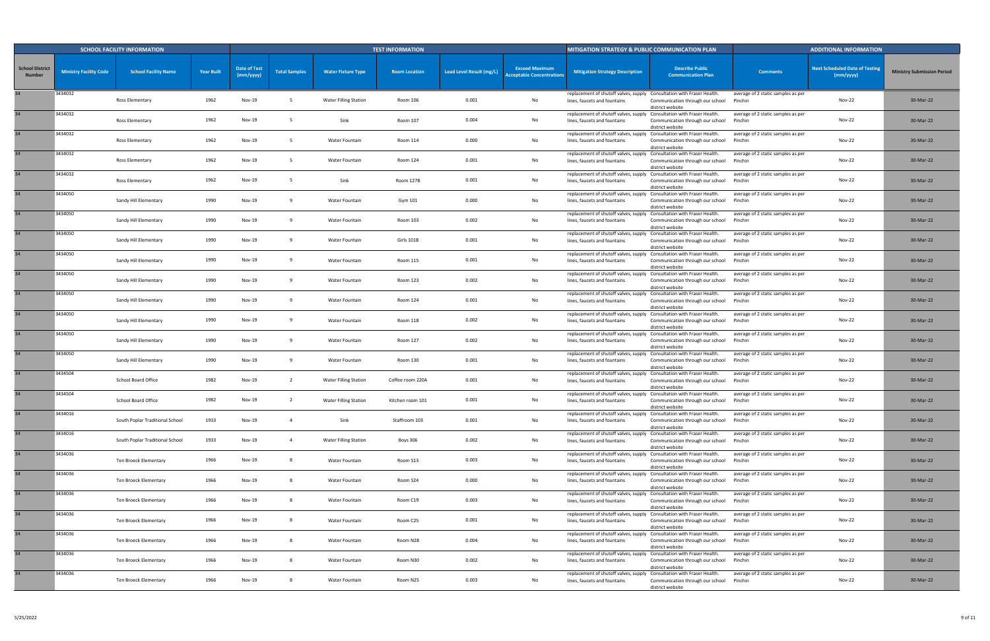|                                         |                               | <b>SCHOOL FACILITY INFORMATION</b> |                   |                                  |                      |                              | <b>TEST INFORMATION</b> |                          |                                                           | MITIGATION STRATEGY & PUBLIC COMMUNICATION PLAN                                                        |                                                      |                                               | <b>ADDITIONAL INFORMATION</b>                      |                                   |
|-----------------------------------------|-------------------------------|------------------------------------|-------------------|----------------------------------|----------------------|------------------------------|-------------------------|--------------------------|-----------------------------------------------------------|--------------------------------------------------------------------------------------------------------|------------------------------------------------------|-----------------------------------------------|----------------------------------------------------|-----------------------------------|
| <b>School District</b><br><b>Number</b> | <b>Ministry Facility Code</b> | <b>School Facility Name</b>        | <b>Year Built</b> | <b>Date of Test</b><br>(mm/yyyy) | <b>Total Samples</b> | <b>Water Fixture Type</b>    | <b>Room Location</b>    | Lead Level Result (mg/L) | <b>Exceed Maximum</b><br><b>Acceptable Concentrations</b> | <b>Mitigation Strategy Description</b>                                                                 | <b>Describe Public</b><br><b>Communication Plan</b>  | <b>Comments</b>                               | <b>Next Scheduled Date of Testing</b><br>(mm/yyyy) | <b>Ministry Submission Period</b> |
|                                         | 3434032                       | Ross Elementary                    | 1962              | Nov-19                           |                      | <b>Water Filling Station</b> | Room 106                | 0.001                    | No                                                        | replacement of shutoff valves, supply Consultation with Fraser Health.<br>lines, faucets and fountains | Communication through our school<br>district website | average of 2 static samples as per<br>Pinchin | <b>Nov-22</b>                                      | 30-Mar-22                         |
| 34                                      | 3434032                       | Ross Elementary                    | 1962              | <b>Nov-19</b>                    |                      | Sink                         | Room 107                | 0.004                    | No                                                        | replacement of shutoff valves, supply Consultation with Fraser Health.<br>lines, faucets and fountains | Communication through our school<br>district website | average of 2 static samples as per<br>Pinchin | <b>Nov-22</b>                                      | 30-Mar-22                         |
| 34                                      | 3434032                       | Ross Elementary                    | 1962              | Nov-19                           |                      | Water Fountain               | Room 114                | 0.000                    | No                                                        | replacement of shutoff valves, supply Consultation with Fraser Health.<br>lines, faucets and fountains | Communication through our school<br>district website | average of 2 static samples as per<br>Pinchin | <b>Nov-22</b>                                      | 30-Mar-22                         |
| 34                                      | 3434032                       | Ross Elementary                    | 1962              | Nov-19                           |                      | Water Fountain               | Room 124                | 0.001                    | No                                                        | replacement of shutoff valves, supply Consultation with Fraser Health.<br>lines, faucets and fountains | Communication through our school<br>district website | average of 2 static samples as per<br>Pinchin | <b>Nov-22</b>                                      | 30-Mar-22                         |
|                                         | 3434032                       | Ross Elementary                    | 1962              | Nov-19                           |                      | Sink                         | Room 127B               | 0.001                    | No                                                        | replacement of shutoff valves, supply Consultation with Fraser Health.<br>lines, faucets and fountains | Communication through our school<br>district website | average of 2 static samples as per<br>Pinchin | <b>Nov-22</b>                                      | 30-Mar-22                         |
|                                         | 3434050                       | Sandy Hill Elementary              | 1990              | Nov-19                           |                      | Water Fountain               | Gym 101                 | 0.000                    | No                                                        | replacement of shutoff valves, supply Consultation with Fraser Health.<br>lines, faucets and fountains | Communication through our school<br>district website | average of 2 static samples as per<br>Pinchin | <b>Nov-22</b>                                      | 30-Mar-22                         |
| 34                                      | 3434050                       | Sandy Hill Elementary              | 1990              | Nov-19                           |                      | Water Fountain               | Room 103                | 0.002                    | No                                                        | replacement of shutoff valves, supply Consultation with Fraser Health.<br>lines, faucets and fountains | Communication through our school<br>district website | average of 2 static samples as per<br>Pinchin | <b>Nov-22</b>                                      | 30-Mar-22                         |
|                                         | 3434050                       | Sandy Hill Elementary              | 1990              | <b>Nov-19</b>                    |                      | Water Fountain               | Girls 101B              | 0.001                    | No                                                        | replacement of shutoff valves, supply Consultation with Fraser Health.<br>lines, faucets and fountains | Communication through our school<br>district website | average of 2 static samples as per<br>Pinchin | Nov-22                                             | 30-Mar-22                         |
|                                         | 3434050                       | Sandy Hill Elementary              | 1990              | Nov-19                           | -9                   | Water Fountain               | Room 115                | 0.001                    | No                                                        | replacement of shutoff valves, supply Consultation with Fraser Health.<br>lines, faucets and fountains | Communication through our school<br>district website | average of 2 static samples as per<br>Pinchin | Nov-22                                             | 30-Mar-22                         |
| 34                                      | 3434050                       | Sandy Hill Elementary              | 1990              | <b>Nov-19</b>                    |                      | Water Fountain               | Room 123                | 0.002                    | No                                                        | replacement of shutoff valves, supply Consultation with Fraser Health.<br>lines, faucets and fountains | Communication through our school<br>district website | average of 2 static samples as per<br>Pinchin | <b>Nov-22</b>                                      | 30-Mar-22                         |
| 34                                      | 3434050                       | Sandy Hill Elementary              | 1990              | Nov-19                           |                      | Water Fountain               | Room 124                | 0.001                    | No                                                        | replacement of shutoff valves, supply Consultation with Fraser Health<br>lines, faucets and fountains  | Communication through our school<br>district website | average of 2 static samples as per<br>Pinchin | <b>Nov-22</b>                                      | 30-Mar-22                         |
| 34                                      | 3434050                       | Sandy Hill Elementary              | 1990              | Nov-19                           |                      | Water Fountain               | Room 118                | 0.002                    | No                                                        | replacement of shutoff valves, supply Consultation with Fraser Health<br>lines, faucets and fountains  | Communication through our school<br>district website | average of 2 static samples as per<br>Pinchin | Nov-22                                             | 30-Mar-22                         |
| 34                                      | 3434050                       | Sandy Hill Elementary              | 1990              | Nov-19                           |                      | Water Fountain               | Room 127                | 0.002                    | No                                                        | replacement of shutoff valves, supply Consultation with Fraser Health.<br>lines, faucets and fountains | Communication through our school<br>district website | average of 2 static samples as per<br>Pinchin | Nov-22                                             | 30-Mar-22                         |
| 34                                      | 3434050                       | Sandy Hill Elementary              | 1990              | Nov-19                           |                      | Water Fountain               | Room 130                | 0.001                    | No                                                        | replacement of shutoff valves, supply Consultation with Fraser Health.<br>lines, faucets and fountains | Communication through our school<br>district website | average of 2 static samples as per<br>Pinchin | <b>Nov-22</b>                                      | 30-Mar-22                         |
| 34                                      | 3434504                       | School Board Office                | 1982              | Nov-19                           |                      | <b>Water Filling Station</b> | Coffee room 220A        | 0.001                    | No                                                        | replacement of shutoff valves, supply Consultation with Fraser Health.<br>lines, faucets and fountains | Communication through our school<br>district website | average of 2 static samples as per<br>Pinchin | <b>Nov-22</b>                                      | 30-Mar-22                         |
|                                         | 3434504                       | School Board Office                | 1982              | Nov-19                           |                      | <b>Water Filling Station</b> | Kitchen room 101        | 0.001                    | No                                                        | replacement of shutoff valves, supply Consultation with Fraser Health.<br>lines, faucets and fountains | Communication through our school<br>district website | average of 2 static samples as per<br>Pinchin | <b>Nov-22</b>                                      | 30-Mar-22                         |
|                                         | 3434016                       | South Poplar Traditional School    | 1933              | Nov-19                           | $\overline{4}$       | Sink                         | Staffroom 103           | 0.001                    | No                                                        | replacement of shutoff valves, supply Consultation with Fraser Health.<br>lines, faucets and fountains | Communication through our school<br>district website | average of 2 static samples as per<br>Pinchin | <b>Nov-22</b>                                      | 30-Mar-22                         |
| 34                                      | 3434016                       | South Poplar Traditional School    | 1933              | <b>Nov-19</b>                    | $\overline{4}$       | <b>Water Filling Station</b> | <b>Boys 306</b>         | 0.002                    | No                                                        | replacement of shutoff valves, supply Consultation with Fraser Health.<br>lines, faucets and fountains | Communication through our school<br>district website | average of 2 static samples as per<br>Pinchin | <b>Nov-22</b>                                      | 30-Mar-22                         |
| 34                                      | 3434036                       | Ten Broeck Elementary              | 1966              | Nov-19                           |                      | Water Fountain               | Room S13                | 0.003                    | No                                                        | replacement of shutoff valves, supply Consultation with Fraser Health.<br>lines, faucets and fountains | Communication through our school<br>district website | average of 2 static samples as per<br>Pinchin | <b>Nov-22</b>                                      | 30-Mar-22                         |
| 34                                      | 3434036                       | Ten Broeck Elementary              | 1966              | Nov-19                           |                      | Water Fountain               | Room S24                | 0.000                    | No                                                        | replacement of shutoff valves, supply Consultation with Fraser Health.<br>lines, faucets and fountains | Communication through our school<br>district website | average of 2 static samples as per<br>Pinchin | <b>Nov-22</b>                                      | 30-Mar-22                         |
| 34                                      | 3434036                       | Ten Broeck Elementary              | 1966              | Nov-19                           |                      | Water Fountain               | Room C19                | 0.003                    | No                                                        | replacement of shutoff valves, supply Consultation with Fraser Health.<br>lines, faucets and fountains | Communication through our school<br>district website | average of 2 static samples as per<br>Pinchin | Nov-22                                             | 30-Mar-22                         |
| 34                                      | 3434036                       | Ten Broeck Elementary              | 1966              | Nov-19                           | - 8                  | Water Fountain               | Room C25                | 0.001                    | No                                                        | replacement of shutoff valves, supply Consultation with Fraser Health.<br>lines, faucets and fountains | Communication through our school<br>district website | average of 2 static samples as per<br>Pinchin | Nov-22                                             | 30-Mar-22                         |
| 34                                      | 3434036                       | Ten Broeck Elementary              | 1966              | Nov-19                           |                      | Water Fountain               | Room N28                | 0.004                    | No                                                        | replacement of shutoff valves, supply Consultation with Fraser Health.<br>lines, faucets and fountains | Communication through our school<br>district website | average of 2 static samples as per<br>Pinchin | <b>Nov-22</b>                                      | 30-Mar-22                         |
| 34                                      | 3434036                       | Ten Broeck Elementary              | 1966              | Nov-19                           |                      | Water Fountain               | Room N30                | 0.002                    | No                                                        | replacement of shutoff valves, supply Consultation with Fraser Health.<br>lines, faucets and fountains | Communication through our school<br>district website | average of 2 static samples as per<br>Pinchin | <b>Nov-22</b>                                      | 30-Mar-22                         |
|                                         | 3434036                       | Ten Broeck Elementary              | 1966              | Nov-19                           |                      | Water Fountain               | Room N25                | 0.003                    | No                                                        | replacement of shutoff valves, supply Consultation with Fraser Health.<br>lines, faucets and fountains | Communication through our school<br>district website | average of 2 static samples as per<br>Pinchin | <b>Nov-22</b>                                      | 30-Mar-22                         |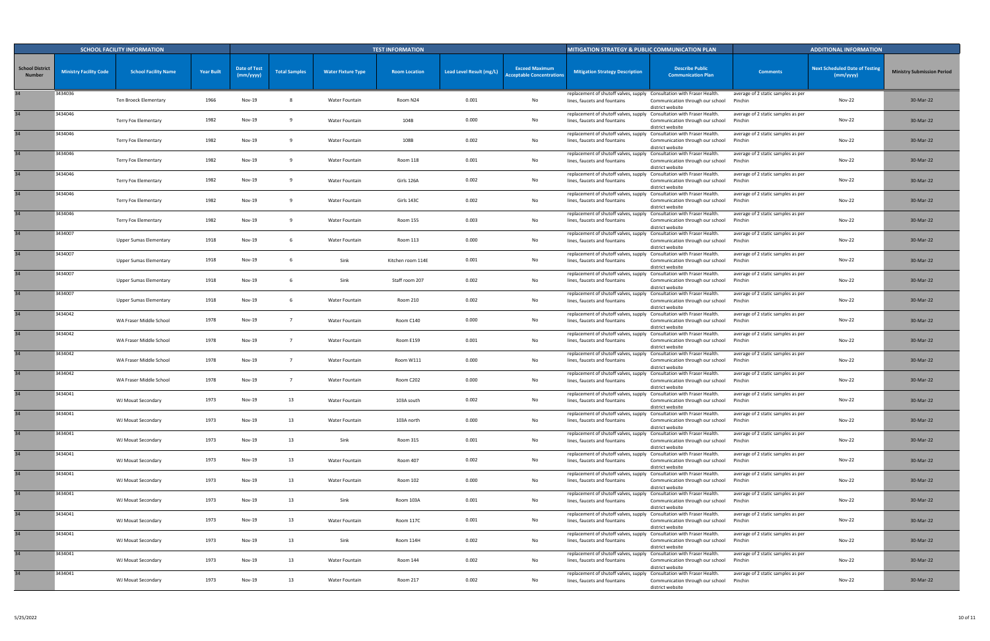|                                         |                               | <b>SCHOOL FACILITY INFORMATION</b> |                   |                                  |                      |                           | <b>TEST INFORMATION</b> |                          |                                                           | MITIGATION STRATEGY & PUBLIC COMMUNICATION PLAN                                                        |                                                      |                                               | <b>ADDITIONAL INFORMATION</b>                      |                                   |
|-----------------------------------------|-------------------------------|------------------------------------|-------------------|----------------------------------|----------------------|---------------------------|-------------------------|--------------------------|-----------------------------------------------------------|--------------------------------------------------------------------------------------------------------|------------------------------------------------------|-----------------------------------------------|----------------------------------------------------|-----------------------------------|
| <b>School District</b><br><b>Number</b> | <b>Ministry Facility Code</b> | <b>School Facility Name</b>        | <b>Year Built</b> | <b>Date of Test</b><br>(mm/yyyy) | <b>Total Samples</b> | <b>Water Fixture Type</b> | <b>Room Location</b>    | Lead Level Result (mg/L) | <b>Exceed Maximum</b><br><b>Acceptable Concentrations</b> | <b>Mitigation Strategy Description</b>                                                                 | <b>Describe Public</b><br><b>Communication Plan</b>  | <b>Comments</b>                               | <b>Next Scheduled Date of Testing</b><br>(mm/yyyy) | <b>Ministry Submission Period</b> |
|                                         | 3434036                       | Ten Broeck Elementary              | 1966              | Nov-19                           |                      | Water Fountain            | Room N24                | 0.001                    | No                                                        | replacement of shutoff valves, supply Consultation with Fraser Health.<br>lines, faucets and fountains | Communication through our school<br>district website | average of 2 static samples as per<br>Pinchin | <b>Nov-22</b>                                      | 30-Mar-22                         |
| 34                                      | 3434046                       | <b>Terry Fox Elementary</b>        | 1982              | <b>Nov-19</b>                    |                      | Water Fountain            | 104B                    | 0.000                    | No                                                        | replacement of shutoff valves, supply Consultation with Fraser Health.<br>lines, faucets and fountains | Communication through our school<br>district website | average of 2 static samples as per<br>Pinchin | <b>Nov-22</b>                                      | 30-Mar-22                         |
| 34                                      | 3434046                       | Terry Fox Elementary               | 1982              | Nov-19                           |                      | Water Fountain            | 108B                    | 0.002                    | No                                                        | replacement of shutoff valves, supply Consultation with Fraser Health.<br>lines, faucets and fountains | Communication through our school<br>district website | average of 2 static samples as per<br>Pinchin | Nov-22                                             | 30-Mar-22                         |
| 34                                      | 3434046                       | Terry Fox Elementary               | 1982              | Nov-19                           |                      | Water Fountain            | Room 118                | 0.001                    | No                                                        | replacement of shutoff valves, supply Consultation with Fraser Health.<br>lines, faucets and fountains | Communication through our school<br>district website | average of 2 static samples as per<br>Pinchin | <b>Nov-22</b>                                      | 30-Mar-22                         |
|                                         | 3434046                       | Terry Fox Elementary               | 1982              | Nov-19                           |                      | Water Fountain            | Girls 126A              | 0.002                    | No                                                        | replacement of shutoff valves, supply Consultation with Fraser Health.<br>lines, faucets and fountains | Communication through our school<br>district website | average of 2 static samples as per<br>Pinchin | <b>Nov-22</b>                                      | 30-Mar-22                         |
|                                         | 3434046                       | <b>Terry Fox Elementary</b>        | 1982              | <b>Nov-19</b>                    |                      | Water Fountain            | Girls 143C              | 0.002                    | No                                                        | replacement of shutoff valves, supply Consultation with Fraser Health.<br>lines, faucets and fountains | Communication through our school<br>district website | average of 2 static samples as per<br>Pinchin | <b>Nov-22</b>                                      | 30-Mar-22                         |
| 34                                      | 3434046                       | Terry Fox Elementary               | 1982              | Nov-19                           |                      | Water Fountain            | Room 155                | 0.003                    | No                                                        | replacement of shutoff valves, supply Consultation with Fraser Health.<br>lines, faucets and fountains | Communication through our school<br>district website | average of 2 static samples as per<br>Pinchin | <b>Nov-22</b>                                      | 30-Mar-22                         |
|                                         | 3434007                       | Upper Sumas Elementary             | 1918              | <b>Nov-19</b>                    |                      | Water Fountain            | Room 113                | 0.000                    | No                                                        | replacement of shutoff valves, supply Consultation with Fraser Health.<br>lines, faucets and fountains | Communication through our school<br>district website | average of 2 static samples as per<br>Pinchin | Nov-22                                             | 30-Mar-22                         |
|                                         | 3434007                       | <b>Upper Sumas Elementary</b>      | 1918              | Nov-19                           |                      | Sink                      | Kitchen room 114E       | 0.001                    | No                                                        | replacement of shutoff valves, supply Consultation with Fraser Health.<br>lines, faucets and fountains | Communication through our school<br>district website | average of 2 static samples as per<br>Pinchin | Nov-22                                             | 30-Mar-22                         |
| 34                                      | 3434007                       | Upper Sumas Elementary             | 1918              | <b>Nov-19</b>                    |                      | Sink                      | Staff room 207          | 0.002                    | No                                                        | replacement of shutoff valves, supply Consultation with Fraser Health.<br>lines, faucets and fountains | Communication through our school<br>district website | average of 2 static samples as per<br>Pinchin | <b>Nov-22</b>                                      | 30-Mar-22                         |
| 34                                      | 3434007                       | <b>Upper Sumas Elementary</b>      | 1918              | Nov-19                           |                      | Water Fountain            | Room 210                | 0.002                    | No                                                        | replacement of shutoff valves, supply Consultation with Fraser Health<br>lines, faucets and fountains  | Communication through our school<br>district website | average of 2 static samples as per<br>Pinchin | Nov-22                                             | 30-Mar-22                         |
| 34                                      | 3434042                       | WA Fraser Middle School            | 1978              | Nov-19                           |                      | Water Fountain            | Room C140               | 0.000                    | No                                                        | replacement of shutoff valves, supply Consultation with Fraser Health<br>lines, faucets and fountains  | Communication through our school<br>district website | average of 2 static samples as per<br>Pinchin | Nov-22                                             | 30-Mar-22                         |
| 34                                      | 3434042                       | WA Fraser Middle School            | 1978              | Nov-19                           |                      | Water Fountain            | Room E159               | 0.001                    | No                                                        | replacement of shutoff valves, supply Consultation with Fraser Health<br>lines, faucets and fountains  | Communication through our school<br>district website | average of 2 static samples as per<br>Pinchin | Nov-22                                             | 30-Mar-22                         |
| 34                                      | 3434042                       | WA Fraser Middle School            | 1978              | <b>Nov-19</b>                    | - 7                  | Water Fountain            | Room W111               | 0.000                    | No                                                        | replacement of shutoff valves, supply Consultation with Fraser Health.<br>lines, faucets and fountains | Communication through our school<br>district website | average of 2 static samples as per<br>Pinchin | <b>Nov-22</b>                                      | 30-Mar-22                         |
| 34                                      | 3434042                       | WA Fraser Middle School            | 1978              | Nov-19                           |                      | Water Fountain            | Room C202               | 0.000                    | No                                                        | replacement of shutoff valves, supply Consultation with Fraser Health.<br>lines, faucets and fountains | Communication through our school<br>district website | average of 2 static samples as per<br>Pinchin | <b>Nov-22</b>                                      | 30-Mar-22                         |
|                                         | 3434041                       | WJ Mouat Secondary                 | 1973              | Nov-19                           | 13                   | Water Fountain            | 103A south              | 0.002                    | No                                                        | replacement of shutoff valves, supply Consultation with Fraser Health.<br>lines, faucets and fountains | Communication through our school<br>district website | average of 2 static samples as per<br>Pinchin | Nov-22                                             | 30-Mar-22                         |
|                                         | 3434041                       | WJ Mouat Secondary                 | 1973              | Nov-19                           | 13                   | Water Fountain            | 103A north              | 0.000                    | No                                                        | replacement of shutoff valves, supply Consultation with Fraser Health.<br>lines, faucets and fountains | Communication through our school<br>district website | average of 2 static samples as per<br>Pinchin | <b>Nov-22</b>                                      | 30-Mar-22                         |
| 34                                      | 3434041                       | WJ Mouat Secondary                 | 1973              | <b>Nov-19</b>                    | 13                   | Sink                      | Room 315                | 0.001                    | No                                                        | replacement of shutoff valves, supply Consultation with Fraser Health.<br>lines, faucets and fountains | Communication through our school<br>district website | average of 2 static samples as per<br>Pinchin | <b>Nov-22</b>                                      | 30-Mar-22                         |
| 34                                      | 3434041                       | WJ Mouat Secondary                 | 1973              | Nov-19                           | 13                   | Water Fountain            | Room 407                | 0.002                    | No                                                        | replacement of shutoff valves, supply Consultation with Fraser Health.<br>lines, faucets and fountains | Communication through our school<br>district website | average of 2 static samples as per<br>Pinchin | <b>Nov-22</b>                                      | 30-Mar-22                         |
| 34                                      | 3434041                       | WJ Mouat Secondary                 | 1973              | <b>Nov-19</b>                    | 13                   | Water Fountain            | Room 102                | 0.000                    | No                                                        | replacement of shutoff valves, supply Consultation with Fraser Health.<br>lines, faucets and fountains | Communication through our school<br>district website | average of 2 static samples as per<br>Pinchin | <b>Nov-22</b>                                      | 30-Mar-22                         |
| 34                                      | 3434041                       | WJ Mouat Secondary                 | 1973              | Nov-19                           | 13                   | Sink                      | Room 103A               | 0.001                    | No                                                        | replacement of shutoff valves, supply Consultation with Fraser Health.<br>lines, faucets and fountains | Communication through our school<br>district website | average of 2 static samples as per<br>Pinchin | <b>Nov-22</b>                                      | 30-Mar-22                         |
| 34                                      | 3434041                       | WJ Mouat Secondary                 | 1973              | Nov-19                           | 13                   | Water Fountain            | Room 117C               | 0.001                    | No                                                        | replacement of shutoff valves, supply Consultation with Fraser Health.<br>lines, faucets and fountains | Communication through our school<br>district website | average of 2 static samples as per<br>Pinchin | Nov-22                                             | 30-Mar-22                         |
| 34                                      | 3434041                       | WJ Mouat Secondary                 | 1973              | Nov-19                           | 13                   | Sink                      | Room 114H               | 0.002                    | No                                                        | replacement of shutoff valves, supply Consultation with Fraser Health.<br>lines, faucets and fountains | Communication through our school<br>district website | average of 2 static samples as per<br>Pinchin | <b>Nov-22</b>                                      | 30-Mar-22                         |
| 34                                      | 3434041                       | WJ Mouat Secondary                 | 1973              | Nov-19                           | 13                   | Water Fountain            | Room 144                | 0.002                    | No                                                        | replacement of shutoff valves, supply Consultation with Fraser Health.<br>lines, faucets and fountains | Communication through our school<br>district website | average of 2 static samples as per<br>Pinchin | <b>Nov-22</b>                                      | 30-Mar-22                         |
|                                         | 3434041                       | WJ Mouat Secondary                 | 1973              | Nov-19                           | 13                   | Water Fountain            | Room 217                | 0.002                    | No                                                        | replacement of shutoff valves, supply Consultation with Fraser Health.<br>lines, faucets and fountains | Communication through our school<br>district website | average of 2 static samples as per<br>Pinchin | <b>Nov-22</b>                                      | 30-Mar-22                         |